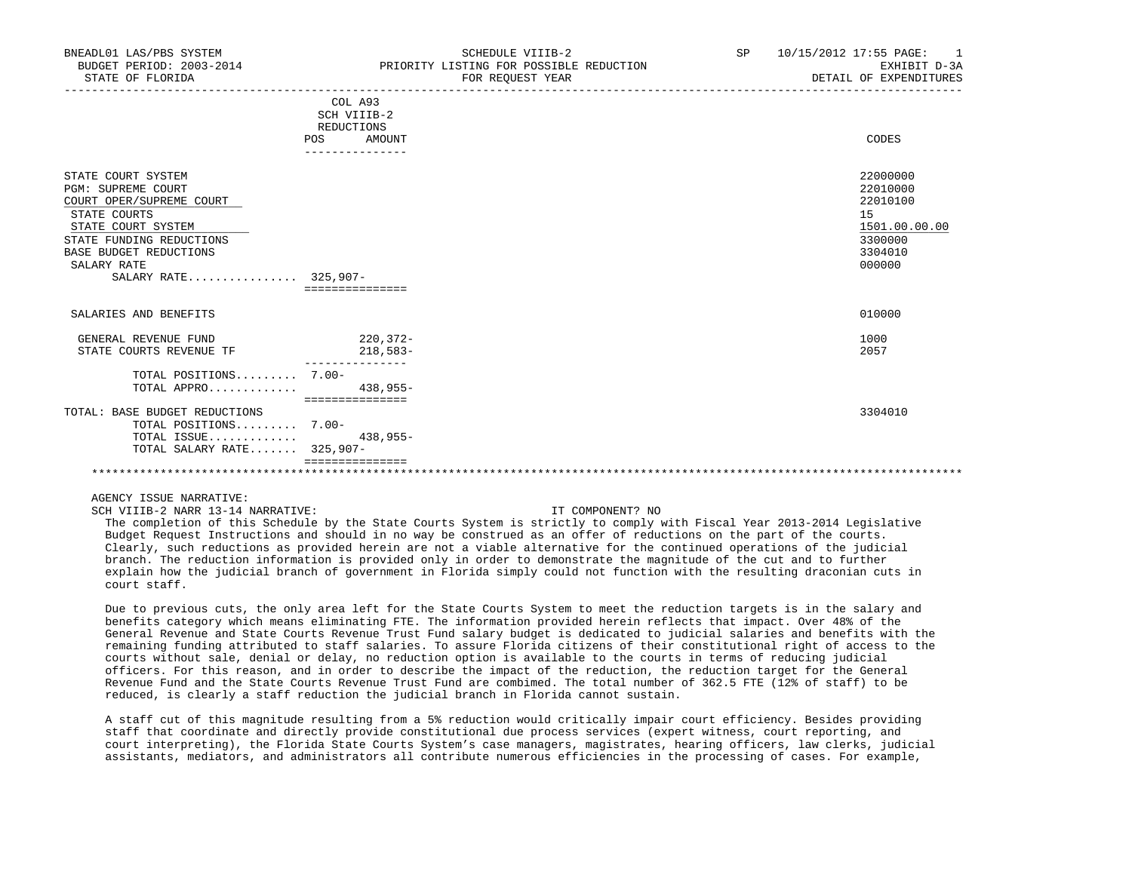| BNEADL01 LAS/PBS SYSTEM<br>BUDGET PERIOD: 2003-2014<br>STATE OF FLORIDA                                                                                                                                        |                                                                          | SCHEDULE VIIIB-2<br>PRIORITY LISTING FOR POSSIBLE REDUCTION<br>FOR REOUEST YEAR | SP | 10/15/2012 17:55 PAGE: 1<br>EXHIBIT D-3A<br>DETAIL OF EXPENDITURES                      |
|----------------------------------------------------------------------------------------------------------------------------------------------------------------------------------------------------------------|--------------------------------------------------------------------------|---------------------------------------------------------------------------------|----|-----------------------------------------------------------------------------------------|
|                                                                                                                                                                                                                | COL A93<br>SCH VIIIB-2<br>REDUCTIONS<br>POS<br>AMOUNT<br>--------------- |                                                                                 |    | CODES                                                                                   |
| STATE COURT SYSTEM<br><b>PGM: SUPREME COURT</b><br>COURT OPER/SUPREME COURT<br>STATE COURTS<br>STATE COURT SYSTEM<br>STATE FUNDING REDUCTIONS<br>BASE BUDGET REDUCTIONS<br>SALARY RATE<br>SALARY RATE 325,907- | ===============                                                          |                                                                                 |    | 22000000<br>22010000<br>22010100<br>15<br>1501.00.00.00<br>3300000<br>3304010<br>000000 |
| SALARIES AND BENEFITS                                                                                                                                                                                          |                                                                          |                                                                                 |    | 010000                                                                                  |
| GENERAL REVENUE FUND<br>STATE COURTS REVENUE TF                                                                                                                                                                | $220.372-$<br>218,583-                                                   |                                                                                 |    | 1000<br>2057                                                                            |
| TOTAL POSITIONS 7.00-<br>TOTAL APPRO                                                                                                                                                                           | $438,955-$<br>===============                                            |                                                                                 |    |                                                                                         |
| TOTAL: BASE BUDGET REDUCTIONS<br>TOTAL POSITIONS 7.00-<br>TOTAL ISSUE<br>TOTAL SALARY RATE 325,907-                                                                                                            | $438,955-$                                                               |                                                                                 |    | 3304010                                                                                 |
|                                                                                                                                                                                                                |                                                                          |                                                                                 |    |                                                                                         |

SCH VIIIB-2 NARR 13-14 NARRATIVE: IT COMPONENT? NO

 The completion of this Schedule by the State Courts System is strictly to comply with Fiscal Year 2013-2014 Legislative Budget Request Instructions and should in no way be construed as an offer of reductions on the part of the courts. Clearly, such reductions as provided herein are not a viable alternative for the continued operations of the judicial branch. The reduction information is provided only in order to demonstrate the magnitude of the cut and to further explain how the judicial branch of government in Florida simply could not function with the resulting draconian cuts in court staff.

 Due to previous cuts, the only area left for the State Courts System to meet the reduction targets is in the salary and benefits category which means eliminating FTE. The information provided herein reflects that impact. Over 48% of the General Revenue and State Courts Revenue Trust Fund salary budget is dedicated to judicial salaries and benefits with the remaining funding attributed to staff salaries. To assure Florida citizens of their constitutional right of access to the courts without sale, denial or delay, no reduction option is available to the courts in terms of reducing judicial officers. For this reason, and in order to describe the impact of the reduction, the reduction target for the General Revenue Fund and the State Courts Revenue Trust Fund are combimed. The total number of 362.5 FTE (12% of staff) to be reduced, is clearly a staff reduction the judicial branch in Florida cannot sustain.

 A staff cut of this magnitude resulting from a 5% reduction would critically impair court efficiency. Besides providing staff that coordinate and directly provide constitutional due process services (expert witness, court reporting, and court interpreting), the Florida State Courts System's case managers, magistrates, hearing officers, law clerks, judicial assistants, mediators, and administrators all contribute numerous efficiencies in the processing of cases. For example,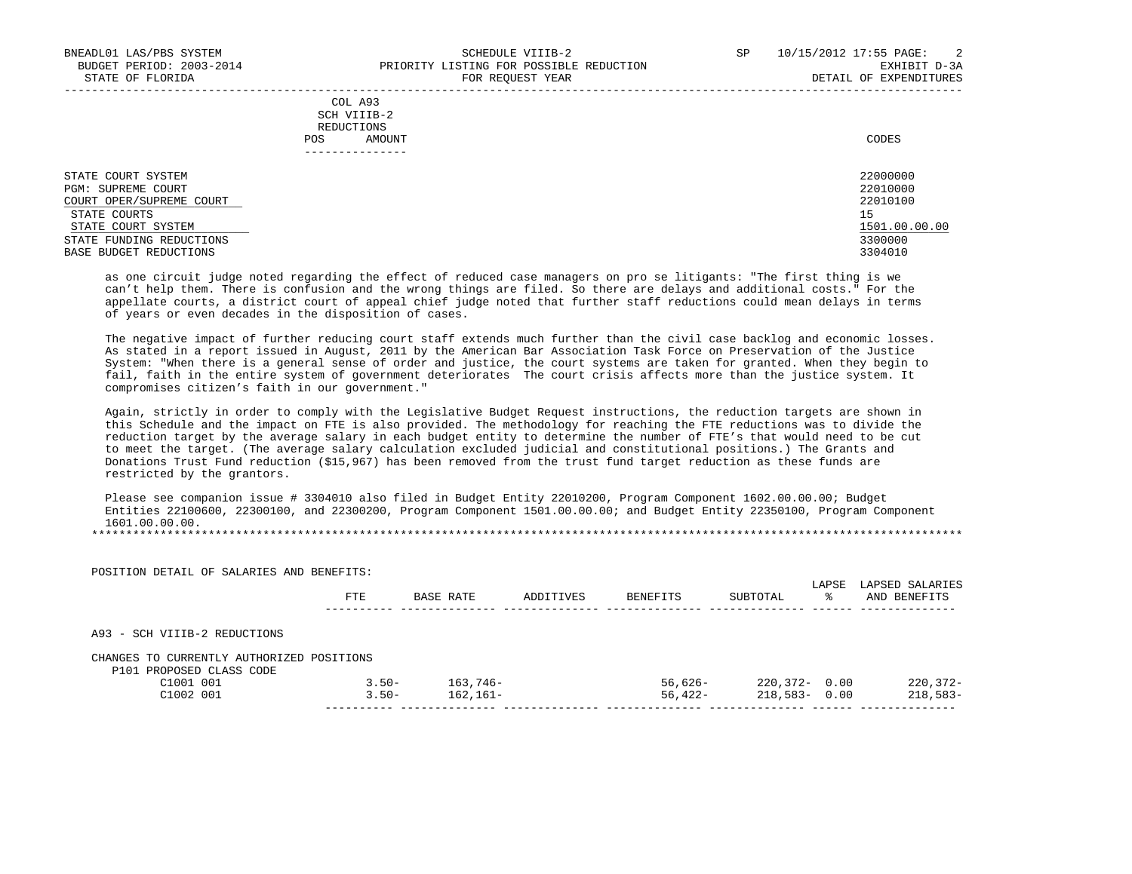|                          |            | - --- -- <del>-</del> --- - ----- |               |
|--------------------------|------------|-----------------------------------|---------------|
|                          | REDUCTIONS | COL A93<br>SCH VIIIB-2            |               |
|                          | <b>POS</b> | AMOUNT                            | CODES         |
|                          |            | . - - - - - - - - - - - -         |               |
| STATE COURT SYSTEM       |            |                                   | 22000000      |
| PGM: SUPREME COURT       |            |                                   | 22010000      |
| COURT OPER/SUPREME COURT |            |                                   | 22010100      |
| STATE COURTS             |            |                                   | 15            |
| STATE COURT SYSTEM       |            |                                   | 1501.00.00.00 |
| STATE FUNDING REDUCTIONS |            |                                   | 3300000       |
| BASE BUDGET REDUCTIONS   |            |                                   | 3304010       |

 as one circuit judge noted regarding the effect of reduced case managers on pro se litigants: "The first thing is we can't help them. There is confusion and the wrong things are filed. So there are delays and additional costs." For the appellate courts, a district court of appeal chief judge noted that further staff reductions could mean delays in terms of years or even decades in the disposition of cases.

 The negative impact of further reducing court staff extends much further than the civil case backlog and economic losses. As stated in a report issued in August, 2011 by the American Bar Association Task Force on Preservation of the Justice System: "When there is a general sense of order and justice, the court systems are taken for granted. When they begin to fail, faith in the entire system of government deteriorates The court crisis affects more than the justice system. It compromises citizen's faith in our government."

 Again, strictly in order to comply with the Legislative Budget Request instructions, the reduction targets are shown in this Schedule and the impact on FTE is also provided. The methodology for reaching the FTE reductions was to divide the reduction target by the average salary in each budget entity to determine the number of FTE's that would need to be cut to meet the target. (The average salary calculation excluded judicial and constitutional positions.) The Grants and Donations Trust Fund reduction (\$15,967) has been removed from the trust fund target reduction as these funds are restricted by the grantors.

 Please see companion issue # 3304010 also filed in Budget Entity 22010200, Program Component 1602.00.00.00; Budget Entities 22100600, 22300100, and 22300200, Program Component 1501.00.00.00; and Budget Entity 22350100, Program Component 1601.00.00.00.

|                                           | FTE.     | BASE RATE  | ADDITIVES | BENEFITS   | SUBTOTAL         | LAPSE<br>° | LAPSED SALARIES<br>AND BENEFITS |
|-------------------------------------------|----------|------------|-----------|------------|------------------|------------|---------------------------------|
| A93 - SCH VIIIB-2 REDUCTIONS              |          |            |           |            |                  |            |                                 |
| CHANGES TO CURRENTLY AUTHORIZED POSITIONS |          |            |           |            |                  |            |                                 |
| P101 PROPOSED CLASS CODE                  |          |            |           |            |                  |            |                                 |
| C1001 001                                 | $3.50 -$ | $163.746-$ |           | $56.626 -$ | $220,372 - 0.00$ |            | $220, 372 -$                    |
| C1002 001                                 | $3.50 -$ | $162.161-$ |           | $56.422 -$ | 218,583-         | 0.00       | $218,583-$                      |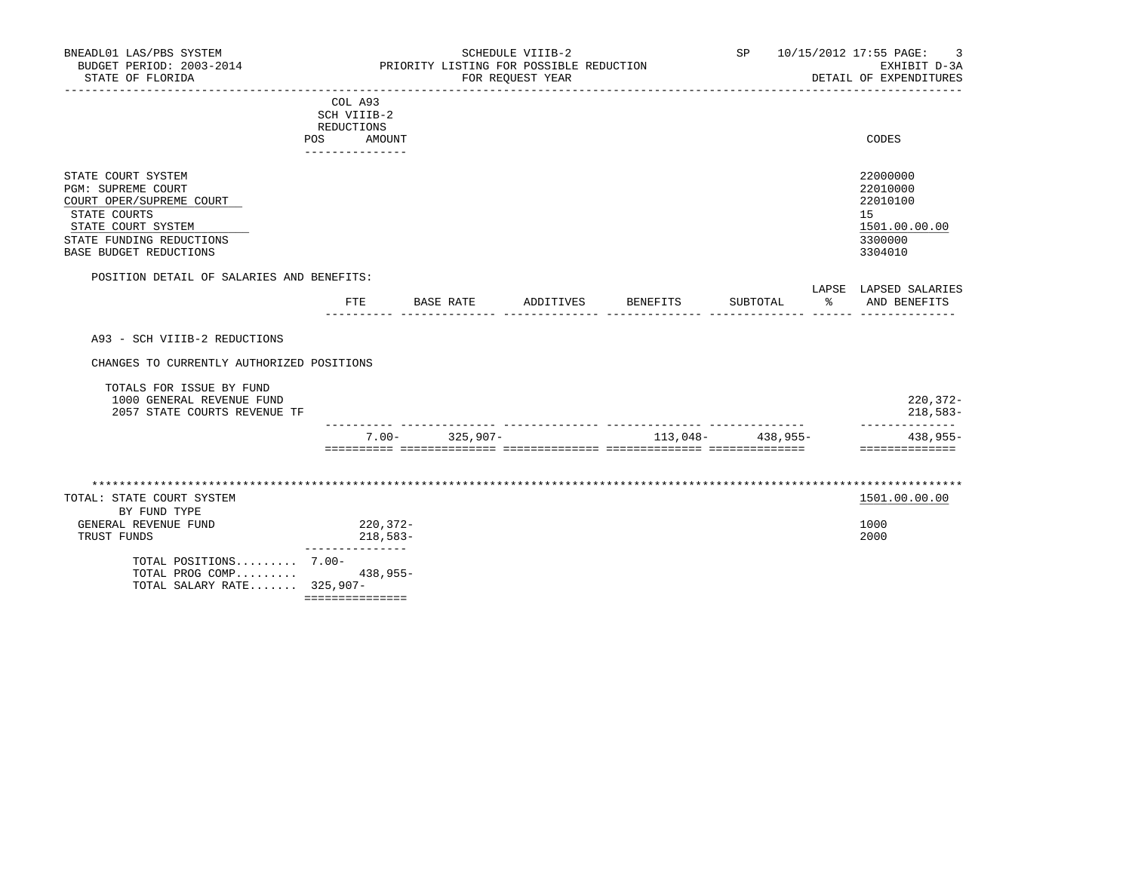| BNEADL01 LAS/PBS SYSTEM<br>BUDGET PERIOD: 2003-2014<br>STATE OF FLORIDA                                                                                                 |                          |                                         |           |                    | SCHEDULE VIIIB-2<br>PRIORITY LISTING FOR POSSIBLE REDUCTION<br>FOR REQUEST YEAR |                     |   | SP 10/15/2012 17:55 PAGE:<br>3<br>EXHIBIT D-3A<br>DETAIL OF EXPENDITURES      |
|-------------------------------------------------------------------------------------------------------------------------------------------------------------------------|--------------------------|-----------------------------------------|-----------|--------------------|---------------------------------------------------------------------------------|---------------------|---|-------------------------------------------------------------------------------|
|                                                                                                                                                                         | REDUCTIONS<br><b>POS</b> | COL A93<br>SCH VIIIB-2<br>AMOUNT        |           |                    |                                                                                 |                     |   | CODES                                                                         |
| STATE COURT SYSTEM<br><b>PGM: SUPREME COURT</b><br>COURT OPER/SUPREME COURT<br>STATE COURTS<br>STATE COURT SYSTEM<br>STATE FUNDING REDUCTIONS<br>BASE BUDGET REDUCTIONS |                          |                                         |           |                    |                                                                                 |                     |   | 22000000<br>22010000<br>22010100<br>15<br>1501.00.00.00<br>3300000<br>3304010 |
| POSITION DETAIL OF SALARIES AND BENEFITS:                                                                                                                               |                          | FTE                                     | BASE RATE |                    | ADDITIVES BENEFITS                                                              | SUBTOTAL            | ႜ | LAPSE LAPSED SALARIES<br>AND BENEFITS                                         |
| A93 - SCH VIIIB-2 REDUCTIONS                                                                                                                                            |                          |                                         |           |                    |                                                                                 |                     |   |                                                                               |
| CHANGES TO CURRENTLY AUTHORIZED POSITIONS                                                                                                                               |                          |                                         |           |                    |                                                                                 |                     |   |                                                                               |
| TOTALS FOR ISSUE BY FUND<br>1000 GENERAL REVENUE FUND<br>2057 STATE COURTS REVENUE TF                                                                                   |                          |                                         |           |                    |                                                                                 |                     |   | $220, 372 -$<br>$218,583-$                                                    |
|                                                                                                                                                                         |                          |                                         |           | $7.00 - 325,907 -$ |                                                                                 | $113,048-$ 438,955- |   | --------------<br>438,955-<br>==============                                  |
| TOTAL: STATE COURT SYSTEM<br>BY FUND TYPE<br>GENERAL REVENUE FUND<br>TRUST FUNDS                                                                                        |                          | 220,372-<br>218,583-<br>_______________ |           |                    |                                                                                 |                     |   | 1501.00.00.00<br>1000<br>2000                                                 |
| TOTAL POSITIONS 7.00-<br>TOTAL PROG COMP<br>TOTAL SALARY RATE $325,907-$                                                                                                |                          | $438,955-$                              |           |                    |                                                                                 |                     |   |                                                                               |

===============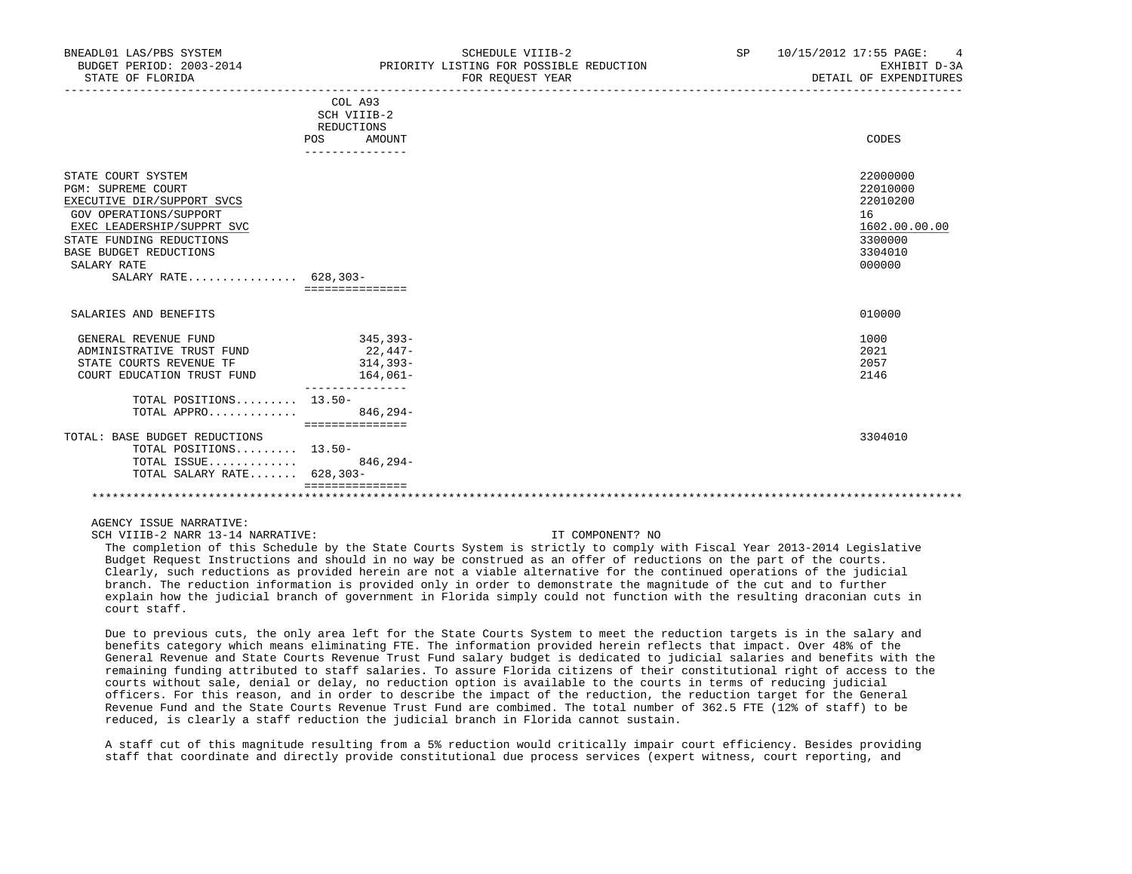| BNEADL01 LAS/PBS SYSTEM<br>BUDGET PERIOD: 2003-2014<br>STATE OF FLORIDA                                                                                                                                                     | SCHEDULE VIIIB-2<br>PRIORITY LISTING FOR POSSIBLE REDUCTION<br>FOR REOUEST YEAR | SP<br>10/15/2012 17:55 PAGE:<br>4<br>EXHIBIT D-3A<br>DETAIL OF EXPENDITURES             |
|-----------------------------------------------------------------------------------------------------------------------------------------------------------------------------------------------------------------------------|---------------------------------------------------------------------------------|-----------------------------------------------------------------------------------------|
|                                                                                                                                                                                                                             | COL A93<br>SCH VIIIB-2<br>REDUCTIONS<br>POS<br>AMOUNT                           | CODES                                                                                   |
|                                                                                                                                                                                                                             | --------------                                                                  |                                                                                         |
| STATE COURT SYSTEM<br>PGM: SUPREME COURT<br>EXECUTIVE DIR/SUPPORT SVCS<br>GOV OPERATIONS/SUPPORT<br>EXEC LEADERSHIP/SUPPRT SVC<br>STATE FUNDING REDUCTIONS<br>BASE BUDGET REDUCTIONS<br>SALARY RATE<br>SALARY RATE 628,303- | ===============                                                                 | 22000000<br>22010000<br>22010200<br>16<br>1602.00.00.00<br>3300000<br>3304010<br>000000 |
| SALARIES AND BENEFITS                                                                                                                                                                                                       |                                                                                 | 010000                                                                                  |
| GENERAL REVENUE FUND<br>ADMINISTRATIVE TRUST FUND<br>STATE COURTS REVENUE TF<br>COURT EDUCATION TRUST FUND                                                                                                                  | 345,393-<br>22,447-<br>314,393-<br>164,061-                                     | 1000<br>2021<br>2057<br>2146                                                            |
| TOTAL POSITIONS 13.50-<br>TOTAL APPRO                                                                                                                                                                                       | $846.294-$                                                                      |                                                                                         |
| TOTAL: BASE BUDGET REDUCTIONS<br>TOTAL POSITIONS 13.50-<br>TOTAL ISSUE<br>TOTAL SALARY RATE 628,303-                                                                                                                        | ===============<br>$846, 294-$                                                  | 3304010                                                                                 |
|                                                                                                                                                                                                                             |                                                                                 |                                                                                         |

SCH VIIIB-2 NARR 13-14 NARRATIVE: IT COMPONENT? NO

 The completion of this Schedule by the State Courts System is strictly to comply with Fiscal Year 2013-2014 Legislative Budget Request Instructions and should in no way be construed as an offer of reductions on the part of the courts. Clearly, such reductions as provided herein are not a viable alternative for the continued operations of the judicial branch. The reduction information is provided only in order to demonstrate the magnitude of the cut and to further explain how the judicial branch of government in Florida simply could not function with the resulting draconian cuts in court staff.

 Due to previous cuts, the only area left for the State Courts System to meet the reduction targets is in the salary and benefits category which means eliminating FTE. The information provided herein reflects that impact. Over 48% of the General Revenue and State Courts Revenue Trust Fund salary budget is dedicated to judicial salaries and benefits with the remaining funding attributed to staff salaries. To assure Florida citizens of their constitutional right of access to the courts without sale, denial or delay, no reduction option is available to the courts in terms of reducing judicial officers. For this reason, and in order to describe the impact of the reduction, the reduction target for the General Revenue Fund and the State Courts Revenue Trust Fund are combimed. The total number of 362.5 FTE (12% of staff) to be reduced, is clearly a staff reduction the judicial branch in Florida cannot sustain.

 A staff cut of this magnitude resulting from a 5% reduction would critically impair court efficiency. Besides providing staff that coordinate and directly provide constitutional due process services (expert witness, court reporting, and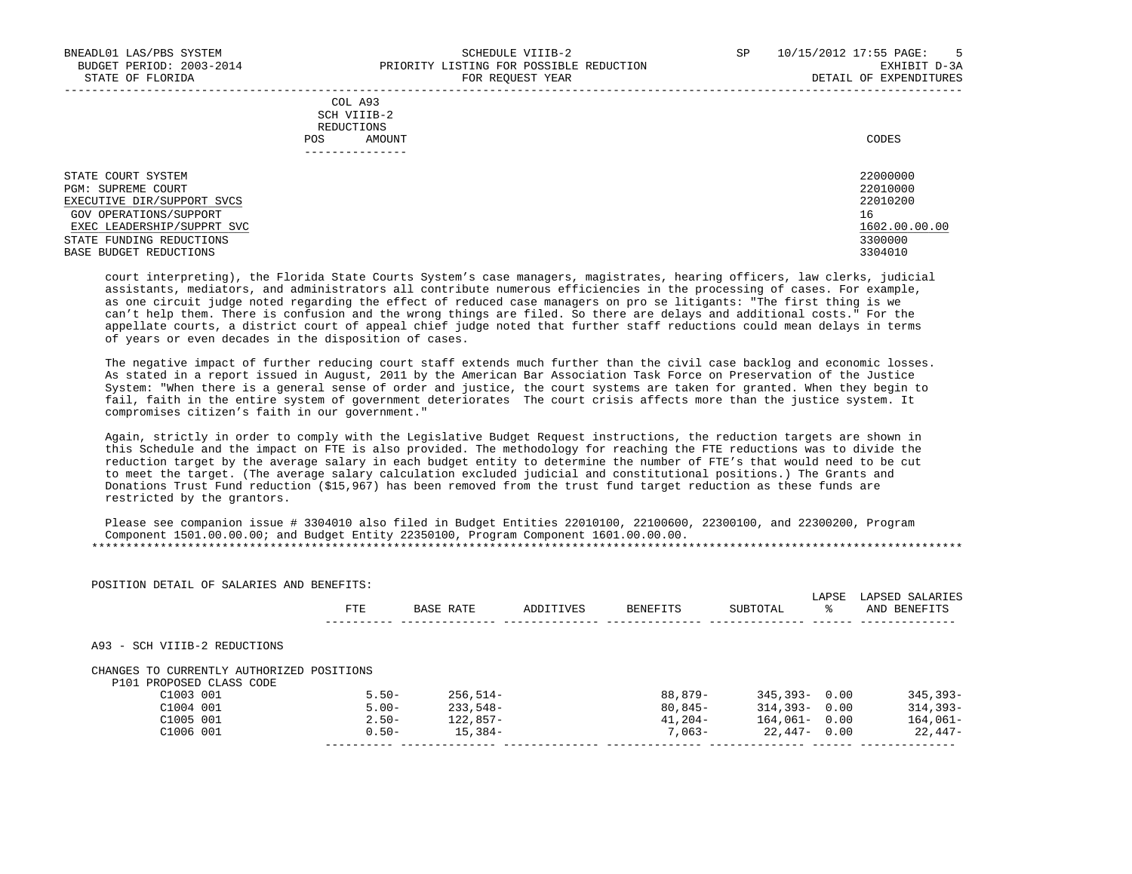-----------------------------------------------------------------------------------------------------------------------------------

|            | COL A93     |       |
|------------|-------------|-------|
|            | SCH VIIIB-2 |       |
| REDUCTIONS |             |       |
| POS        | AMOUNT      | CODES |

| STATE COURT SYSTEM         | 22000000      |
|----------------------------|---------------|
| PGM: SUPREME COURT         | 22010000      |
| EXECUTIVE DIR/SUPPORT SVCS | 22010200      |
| GOV OPERATIONS/SUPPORT     | 16            |
| EXEC LEADERSHIP/SUPPRT SVC | 1602.00.00.00 |
| STATE FUNDING REDUCTIONS   | 3300000       |
| BASE BUDGET REDUCTIONS     | 3304010       |

 court interpreting), the Florida State Courts System's case managers, magistrates, hearing officers, law clerks, judicial assistants, mediators, and administrators all contribute numerous efficiencies in the processing of cases. For example, as one circuit judge noted regarding the effect of reduced case managers on pro se litigants: "The first thing is we can't help them. There is confusion and the wrong things are filed. So there are delays and additional costs." For the appellate courts, a district court of appeal chief judge noted that further staff reductions could mean delays in terms of years or even decades in the disposition of cases.

 The negative impact of further reducing court staff extends much further than the civil case backlog and economic losses. As stated in a report issued in August, 2011 by the American Bar Association Task Force on Preservation of the Justice System: "When there is a general sense of order and justice, the court systems are taken for granted. When they begin to fail, faith in the entire system of government deteriorates The court crisis affects more than the justice system. It compromises citizen's faith in our government."

 Again, strictly in order to comply with the Legislative Budget Request instructions, the reduction targets are shown in this Schedule and the impact on FTE is also provided. The methodology for reaching the FTE reductions was to divide the reduction target by the average salary in each budget entity to determine the number of FTE's that would need to be cut to meet the target. (The average salary calculation excluded judicial and constitutional positions.) The Grants and Donations Trust Fund reduction (\$15,967) has been removed from the trust fund target reduction as these funds are restricted by the grantors.

 Please see companion issue # 3304010 also filed in Budget Entities 22010100, 22100600, 22300100, and 22300200, Program Component 1501.00.00.00; and Budget Entity 22350100, Program Component 1601.00.00.00. \*\*\*\*\*\*\*\*\*\*\*\*\*\*\*\*\*\*\*\*\*\*\*\*\*\*\*\*\*\*\*\*\*\*\*\*\*\*\*\*\*\*\*\*\*\*\*\*\*\*\*\*\*\*\*\*\*\*\*\*\*\*\*\*\*\*\*\*\*\*\*\*\*\*\*\*\*\*\*\*\*\*\*\*\*\*\*\*\*\*\*\*\*\*\*\*\*\*\*\*\*\*\*\*\*\*\*\*\*\*\*\*\*\*\*\*\*\*\*\*\*\*\*\*\*\*\*

|                                                        | FTE      | BASE RATE  | ADDITIVES | BENEFITS  | SUBTOTAL         | LAPSE<br>°≈ | LAPSED SALARIES<br>AND BENEFITS |
|--------------------------------------------------------|----------|------------|-----------|-----------|------------------|-------------|---------------------------------|
| A93 - SCH VIIIB-2 REDUCTIONS                           |          |            |           |           |                  |             |                                 |
|                                                        |          |            |           |           |                  |             |                                 |
| P101 PROPOSED CLASS CODE                               |          |            |           |           |                  |             |                                 |
| C1003 001                                              | $5.50 -$ | $256.514-$ |           | 88,879-   | $345,393 - 0.00$ |             | $345,393-$                      |
| CHANGES TO CURRENTLY AUTHORIZED POSITIONS<br>C1004 001 | $5.00 -$ | $233.548-$ |           | $80.845-$ | $314,393 - 0.00$ |             | $314,393-$                      |
| C1005 001                                              | $2.50 -$ | 122,857-   |           | $41,204-$ | $164.061 - 0.00$ |             | $164,061-$                      |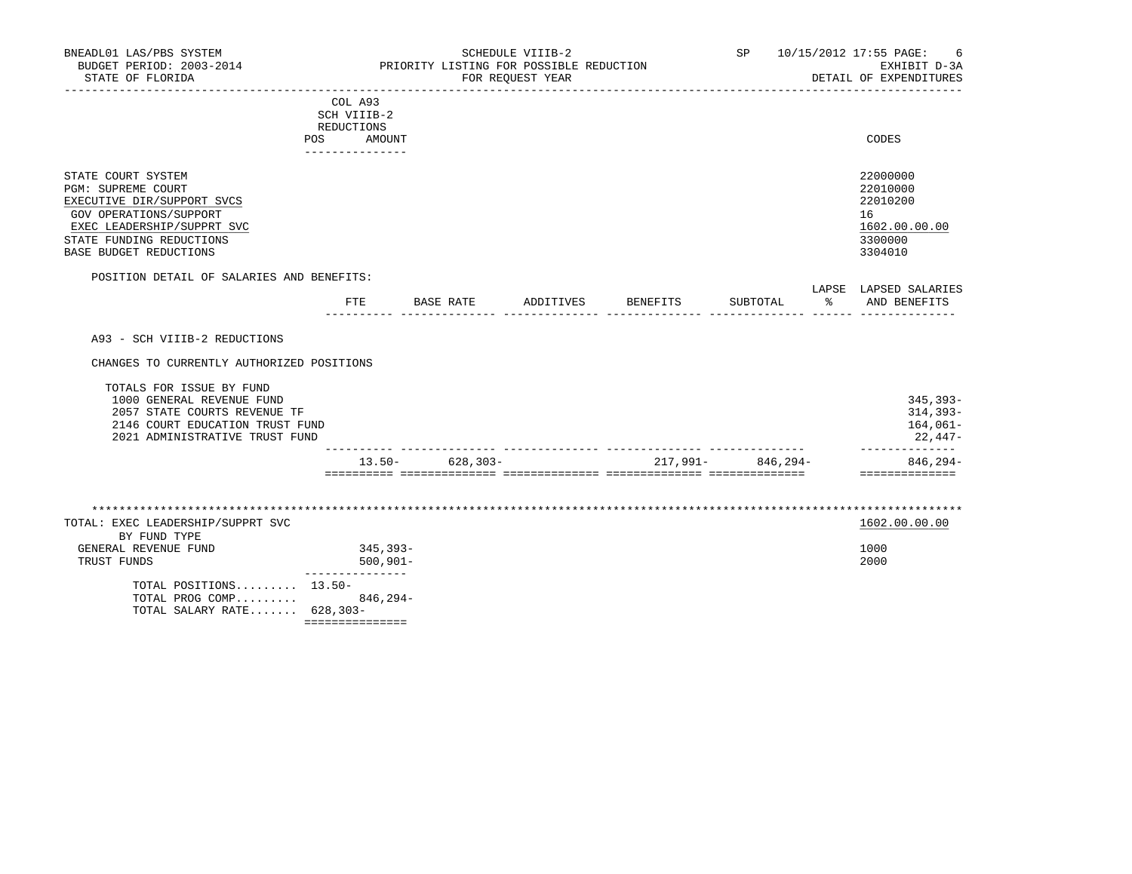| STATE COURT SYSTEM         | 22000000      |
|----------------------------|---------------|
| PGM: SUPREME COURT         | 22010000      |
| EXECUTIVE DIR/SUPPORT SVCS | 22010200      |
| GOV OPERATIONS/SUPPORT     | 16            |
| EXEC LEADERSHIP/SUPPRT SVC | 1602.00.00.00 |
| STATE FUNDING REDUCTIONS   | 3300000       |
| BASE BUDGET REDUCTIONS     | 3304010       |

|          |  |  | ------- | .   |
|----------|--|--|---------|-----|
| mmt<br>. |  |  |         |     |
|          |  |  |         | --- |

A93 - SCH VIIIB-2 REDUCTIONS

CHANGES TO CURRENTLY AUTHORIZED POSITIONS

|                                 | $13.50 -$ | $628.303 -$ | 217,991- | 846,294- | $846.294-$ |
|---------------------------------|-----------|-------------|----------|----------|------------|
| 2021 ADMINISTRATIVE TRUST FUND  |           |             |          |          | $22.447-$  |
| 2146 COURT EDUCATION TRUST FUND |           |             |          |          | $164,061-$ |
| 2057 STATE COURTS REVENUE TF    |           |             |          |          | $314,393-$ |
| 1000 GENERAL REVENUE FUND       |           |             |          |          | $345,393-$ |
| TOTALS FOR ISSUE BY FUND        |           |             |          |          |            |

 \*\*\*\*\*\*\*\*\*\*\*\*\*\*\*\*\*\*\*\*\*\*\*\*\*\*\*\*\*\*\*\*\*\*\*\*\*\*\*\*\*\*\*\*\*\*\*\*\*\*\*\*\*\*\*\*\*\*\*\*\*\*\*\*\*\*\*\*\*\*\*\*\*\*\*\*\*\*\*\*\*\*\*\*\*\*\*\*\*\*\*\*\*\*\*\*\*\*\*\*\*\*\*\*\*\*\*\*\*\*\*\*\*\*\*\*\*\*\*\*\*\*\*\*\*\*\* TOTAL: EXEC LEADERSHIP/SUPPRT SVC BY FUND TYPE GENERAL REVENUE FUND 345,393-<br>TRUST FUNDS 1000<br>2000 12000 500,901-TRUST FUNDS --------------- TOTAL POSITIONS......... 13.50- TOTAL PROG COMP......... 846,294- TOTAL SALARY RATE....... 628,303- ===============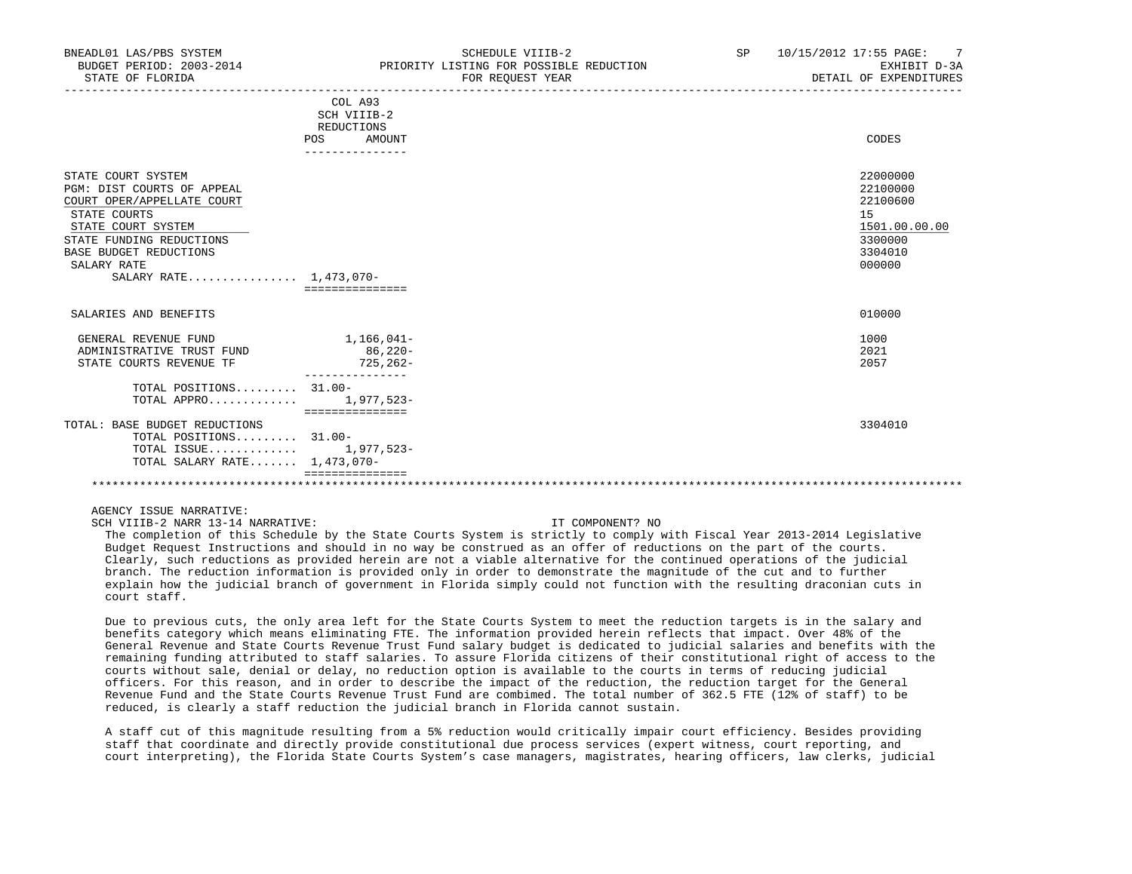| BNEADL01 LAS/PBS SYSTEM<br>BUDGET PERIOD: 2003-2014<br>STATE OF FLORIDA                                                                                                                                                    |                                                                          | SCHEDULE VIIIB-2<br>PRIORITY LISTING FOR POSSIBLE REDUCTION<br>FOR REQUEST YEAR | SP | 10/15/2012 17:55 PAGE: 7<br>EXHIBIT D-3A<br>DETAIL OF EXPENDITURES                      |
|----------------------------------------------------------------------------------------------------------------------------------------------------------------------------------------------------------------------------|--------------------------------------------------------------------------|---------------------------------------------------------------------------------|----|-----------------------------------------------------------------------------------------|
|                                                                                                                                                                                                                            | COL A93<br>SCH VIIIB-2<br>REDUCTIONS<br>POS<br>AMOUNT<br>--------------- |                                                                                 |    | CODES                                                                                   |
| STATE COURT SYSTEM<br>PGM: DIST COURTS OF APPEAL<br>COURT OPER/APPELLATE COURT<br>STATE COURTS<br>STATE COURT SYSTEM<br>STATE FUNDING REDUCTIONS<br><b>BASE BUDGET REDUCTIONS</b><br>SALARY RATE<br>SALARY RATE 1,473,070- | ================                                                         |                                                                                 |    | 22000000<br>22100000<br>22100600<br>15<br>1501.00.00.00<br>3300000<br>3304010<br>000000 |
| SALARIES AND BENEFITS                                                                                                                                                                                                      |                                                                          |                                                                                 |    | 010000                                                                                  |
| GENERAL REVENUE FUND<br>ADMINISTRATIVE TRUST FUND<br>STATE COURTS REVENUE TF                                                                                                                                               | 1,166,041–<br>$86,220-$<br>725,262-                                      |                                                                                 |    | 1000<br>2021<br>2057                                                                    |
| TOTAL POSITIONS 31.00-<br>TOTAL APPRO 1,977,523-                                                                                                                                                                           | ===============                                                          |                                                                                 |    |                                                                                         |
| TOTAL: BASE BUDGET REDUCTIONS<br>TOTAL POSITIONS 31.00-<br>TOTAL ISSUE $1,977,523-$<br>TOTAL SALARY RATE 1,473,070-                                                                                                        |                                                                          |                                                                                 |    | 3304010                                                                                 |
|                                                                                                                                                                                                                            |                                                                          |                                                                                 |    |                                                                                         |

SCH VIIIB-2 NARR 13-14 NARRATIVE: IT COMPONENT? NO

 The completion of this Schedule by the State Courts System is strictly to comply with Fiscal Year 2013-2014 Legislative Budget Request Instructions and should in no way be construed as an offer of reductions on the part of the courts. Clearly, such reductions as provided herein are not a viable alternative for the continued operations of the judicial branch. The reduction information is provided only in order to demonstrate the magnitude of the cut and to further explain how the judicial branch of government in Florida simply could not function with the resulting draconian cuts in court staff.

 Due to previous cuts, the only area left for the State Courts System to meet the reduction targets is in the salary and benefits category which means eliminating FTE. The information provided herein reflects that impact. Over 48% of the General Revenue and State Courts Revenue Trust Fund salary budget is dedicated to judicial salaries and benefits with the remaining funding attributed to staff salaries. To assure Florida citizens of their constitutional right of access to the courts without sale, denial or delay, no reduction option is available to the courts in terms of reducing judicial officers. For this reason, and in order to describe the impact of the reduction, the reduction target for the General Revenue Fund and the State Courts Revenue Trust Fund are combimed. The total number of 362.5 FTE (12% of staff) to be reduced, is clearly a staff reduction the judicial branch in Florida cannot sustain.

 A staff cut of this magnitude resulting from a 5% reduction would critically impair court efficiency. Besides providing staff that coordinate and directly provide constitutional due process services (expert witness, court reporting, and court interpreting), the Florida State Courts System's case managers, magistrates, hearing officers, law clerks, judicial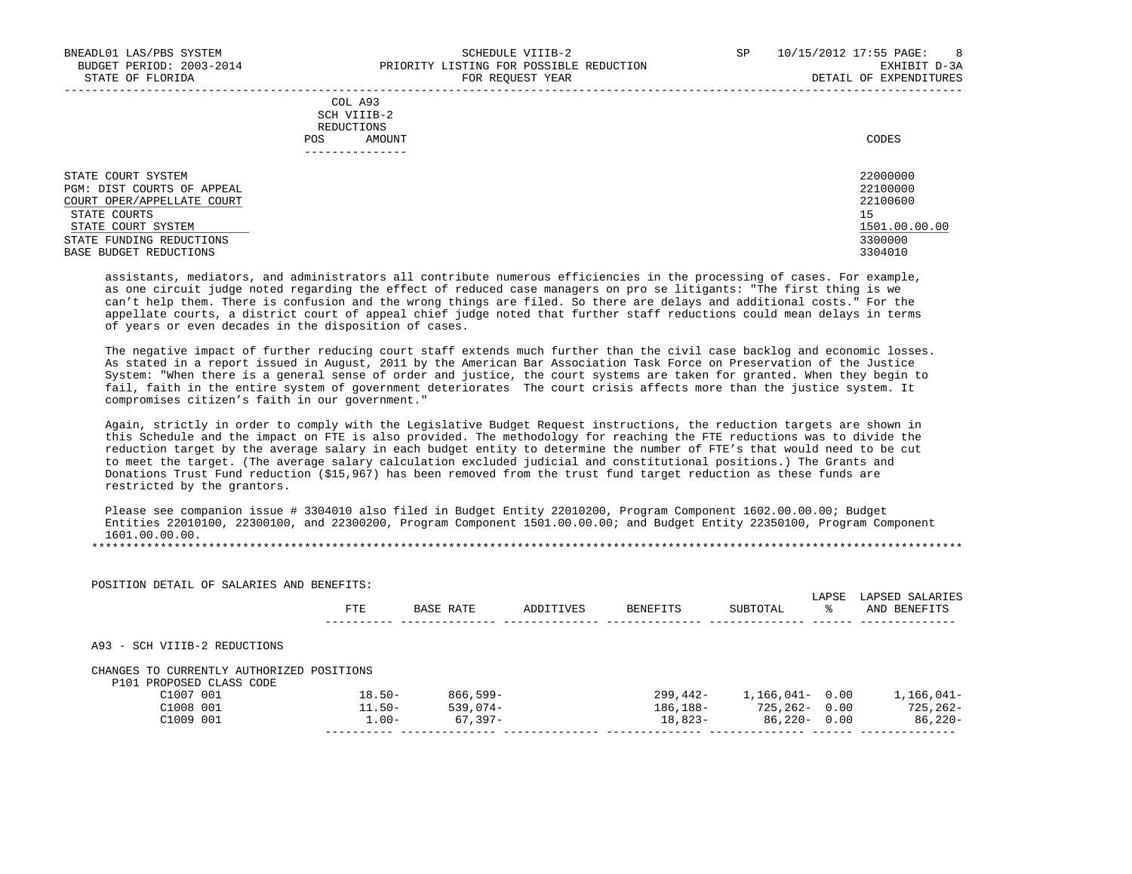|     | COL A93          |       |
|-----|------------------|-------|
|     | SCH VIIIB-2      |       |
|     | REDUCTIONS       |       |
| POS | AMOUNT           | CODES |
|     | ________________ |       |
|     |                  |       |

| STATE COURT SYSTEM         | 22000000      |
|----------------------------|---------------|
| PGM: DIST COURTS OF APPEAL | 22100000      |
| COURT OPER/APPELLATE COURT | 22100600      |
| STATE COURTS               | 15            |
| STATE COURT SYSTEM         | 1501.00.00.00 |
| STATE FUNDING REDUCTIONS   | 3300000       |
| BASE BUDGET REDUCTIONS     | 3304010       |

 assistants, mediators, and administrators all contribute numerous efficiencies in the processing of cases. For example, as one circuit judge noted regarding the effect of reduced case managers on pro se litigants: "The first thing is we can't help them. There is confusion and the wrong things are filed. So there are delays and additional costs." For the appellate courts, a district court of appeal chief judge noted that further staff reductions could mean delays in terms of years or even decades in the disposition of cases.

 The negative impact of further reducing court staff extends much further than the civil case backlog and economic losses. As stated in a report issued in August, 2011 by the American Bar Association Task Force on Preservation of the Justice System: "When there is a general sense of order and justice, the court systems are taken for granted. When they begin to fail, faith in the entire system of government deteriorates The court crisis affects more than the justice system. It compromises citizen's faith in our government."

 Again, strictly in order to comply with the Legislative Budget Request instructions, the reduction targets are shown in this Schedule and the impact on FTE is also provided. The methodology for reaching the FTE reductions was to divide the reduction target by the average salary in each budget entity to determine the number of FTE's that would need to be cut to meet the target. (The average salary calculation excluded judicial and constitutional positions.) The Grants and Donations Trust Fund reduction (\$15,967) has been removed from the trust fund target reduction as these funds are restricted by the grantors.

 Please see companion issue # 3304010 also filed in Budget Entity 22010200, Program Component 1602.00.00.00; Budget Entities 22010100, 22300100, and 22300200, Program Component 1501.00.00.00; and Budget Entity 22350100, Program Component 1601.00.00.00.

|                                                        | FTE.      | BASE RATE   | ADDITIVES | BENEFITS | SUBTOTAL   | LAPSE<br>°≈ | LAPSED SALARIES<br>AND BENEFITS |
|--------------------------------------------------------|-----------|-------------|-----------|----------|------------|-------------|---------------------------------|
| A93 - SCH VIIIB-2 REDUCTIONS                           |           |             |           |          |            |             |                                 |
|                                                        |           |             |           |          |            |             |                                 |
| P101 PROPOSED CLASS CODE                               |           |             |           |          |            |             |                                 |
| C1007 001                                              | $18.50 -$ | $866.599 -$ |           | 299,442- | 1,166,041– | 0.00        |                                 |
| CHANGES TO CURRENTLY AUTHORIZED POSITIONS<br>C1008 001 | $11.50 -$ | $539.074 -$ |           | 186,188- | 725,262-   | 0.00        | 1,166,041-<br>$725.262 -$       |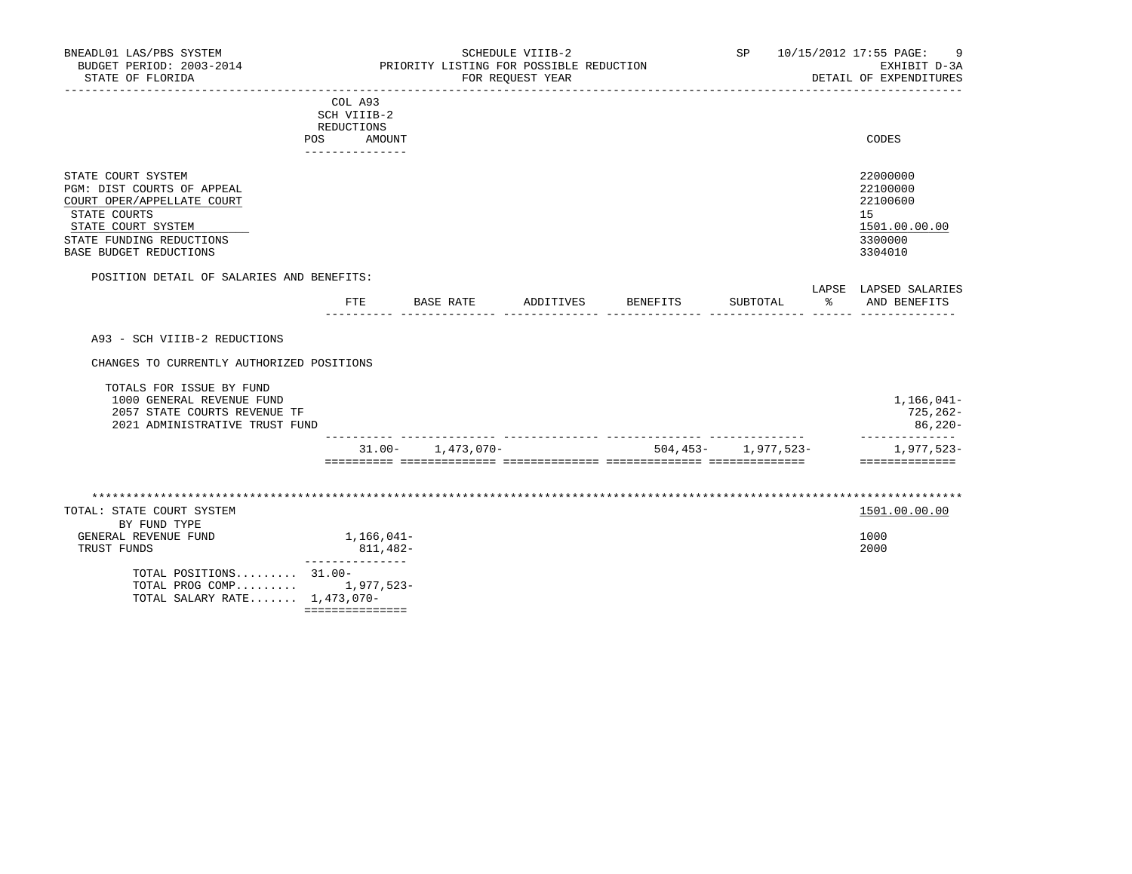| BNEADL01 LAS/PBS SYSTEM<br>BUDGET PERIOD: 2003-2014<br>STATE OF FLORIDA                                                                                                    |                                                                                 | SCHEDULE VIIIB-2<br>PRIORITY LISTING FOR POSSIBLE REDUCTION<br>FOR REOUEST YEAR |  |  |  | SP 10/15/2012 17:55 PAGE: 9<br>EXHIBIT D-3A<br>DETAIL OF EXPENDITURES         |
|----------------------------------------------------------------------------------------------------------------------------------------------------------------------------|---------------------------------------------------------------------------------|---------------------------------------------------------------------------------|--|--|--|-------------------------------------------------------------------------------|
|                                                                                                                                                                            | COL A93<br>SCH VIIIB-2<br>REDUCTIONS<br><b>POS</b><br>AMOUNT<br>--------------- |                                                                                 |  |  |  | CODES                                                                         |
| STATE COURT SYSTEM<br>PGM: DIST COURTS OF APPEAL<br>COURT OPER/APPELLATE COURT<br>STATE COURTS<br>STATE COURT SYSTEM<br>STATE FUNDING REDUCTIONS<br>BASE BUDGET REDUCTIONS |                                                                                 |                                                                                 |  |  |  | 22000000<br>22100000<br>22100600<br>15<br>1501.00.00.00<br>3300000<br>3304010 |
|                                                                                                                                                                            |                                                                                 |                                                                                 |  |  |  |                                                                               |
| POSITION DETAIL OF SALARIES AND BENEFITS:                                                                                                                                  | $_{\rm FTE}$                                                                    |                                                                                 |  |  |  | LAPSE LAPSED SALARIES                                                         |
| A93 - SCH VIIIB-2 REDUCTIONS<br>CHANGES TO CURRENTLY AUTHORIZED POSITIONS<br>TOTALS FOR ISSUE BY FUND                                                                      |                                                                                 |                                                                                 |  |  |  |                                                                               |
| 1000 GENERAL REVENUE FUND<br>2057 STATE COURTS REVENUE TF<br>2021 ADMINISTRATIVE TRUST FUND                                                                                |                                                                                 |                                                                                 |  |  |  | 1,166,041-<br>725,262-<br>86,220-<br>--------------                           |

| TOTAL: STATE COURT SYSTEM                                                 |            | 1501.00.00.00 |  |
|---------------------------------------------------------------------------|------------|---------------|--|
| BY FUND TYPE                                                              |            |               |  |
| GENERAL REVENUE FUND                                                      | 1,166,041- | 1000          |  |
| TRUST FUNDS                                                               | 811,482-   | 2000          |  |
| TOTAL POSITIONS 31.00-<br>TOTAL PROG COMP<br>TOTAL SALARY RATE 1,473,070- | 1,977,523- |               |  |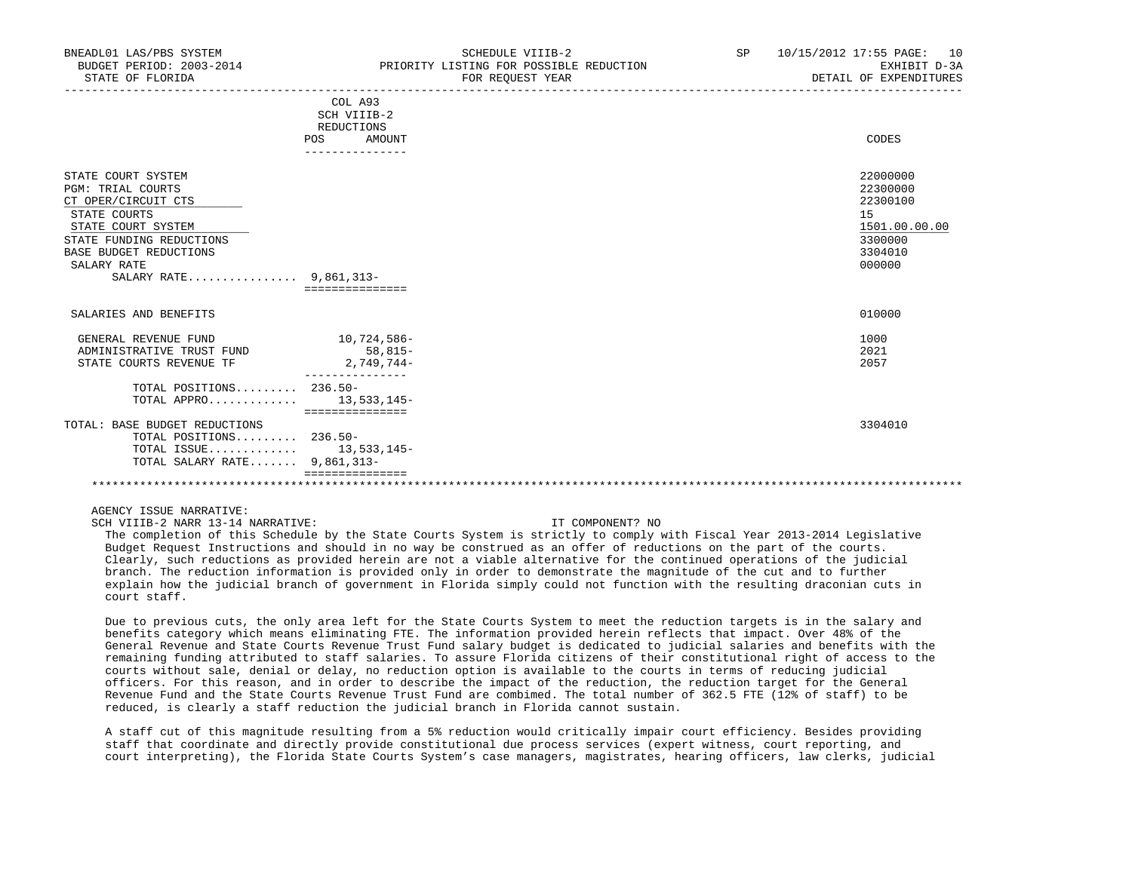| BNEADL01 LAS/PBS SYSTEM<br>BUDGET PERIOD: 2003-2014<br>STATE OF FLORIDA                                                                                                                                           |                                                                          | SCHEDULE VIIIB-2<br>PRIORITY LISTING FOR POSSIBLE REDUCTION<br>FOR REOUEST YEAR | SP | 10/15/2012 17:55 PAGE: 10<br>EXHIBIT D-3A<br>DETAIL OF EXPENDITURES                     |
|-------------------------------------------------------------------------------------------------------------------------------------------------------------------------------------------------------------------|--------------------------------------------------------------------------|---------------------------------------------------------------------------------|----|-----------------------------------------------------------------------------------------|
|                                                                                                                                                                                                                   | COL A93<br>SCH VIIIB-2<br>REDUCTIONS<br>POS<br>AMOUNT<br>--------------- |                                                                                 |    | CODES                                                                                   |
| STATE COURT SYSTEM<br><b>PGM: TRIAL COURTS</b><br>CT OPER/CIRCUIT CTS<br>STATE COURTS<br>STATE COURT SYSTEM<br>STATE FUNDING REDUCTIONS<br><b>BASE BUDGET REDUCTIONS</b><br>SALARY RATE<br>SALARY RATE 9,861,313- | ================                                                         |                                                                                 |    | 22000000<br>22300000<br>22300100<br>15<br>1501.00.00.00<br>3300000<br>3304010<br>000000 |
| SALARIES AND BENEFITS                                                                                                                                                                                             |                                                                          |                                                                                 |    | 010000                                                                                  |
| GENERAL REVENUE FUND<br>ADMINISTRATIVE TRUST FUND<br>STATE COURTS REVENUE TF                                                                                                                                      | 10,724,586-<br>58,815-<br>2,749,744-                                     |                                                                                 |    | 1000<br>2021<br>2057                                                                    |
| TOTAL POSITIONS $236.50-$<br>TOTAL APPRO $13.533.145-$                                                                                                                                                            | ===============                                                          |                                                                                 |    |                                                                                         |
| TOTAL: BASE BUDGET REDUCTIONS<br>TOTAL POSITIONS 236.50-<br>TOTAL ISSUE 13,533,145-<br>TOTAL SALARY RATE 9,861,313-                                                                                               |                                                                          |                                                                                 |    | 3304010                                                                                 |
|                                                                                                                                                                                                                   |                                                                          |                                                                                 |    |                                                                                         |

SCH VIIIB-2 NARR 13-14 NARRATIVE: IT COMPONENT? NO

 The completion of this Schedule by the State Courts System is strictly to comply with Fiscal Year 2013-2014 Legislative Budget Request Instructions and should in no way be construed as an offer of reductions on the part of the courts. Clearly, such reductions as provided herein are not a viable alternative for the continued operations of the judicial branch. The reduction information is provided only in order to demonstrate the magnitude of the cut and to further explain how the judicial branch of government in Florida simply could not function with the resulting draconian cuts in court staff.

 Due to previous cuts, the only area left for the State Courts System to meet the reduction targets is in the salary and benefits category which means eliminating FTE. The information provided herein reflects that impact. Over 48% of the General Revenue and State Courts Revenue Trust Fund salary budget is dedicated to judicial salaries and benefits with the remaining funding attributed to staff salaries. To assure Florida citizens of their constitutional right of access to the courts without sale, denial or delay, no reduction option is available to the courts in terms of reducing judicial officers. For this reason, and in order to describe the impact of the reduction, the reduction target for the General Revenue Fund and the State Courts Revenue Trust Fund are combimed. The total number of 362.5 FTE (12% of staff) to be reduced, is clearly a staff reduction the judicial branch in Florida cannot sustain.

 A staff cut of this magnitude resulting from a 5% reduction would critically impair court efficiency. Besides providing staff that coordinate and directly provide constitutional due process services (expert witness, court reporting, and court interpreting), the Florida State Courts System's case managers, magistrates, hearing officers, law clerks, judicial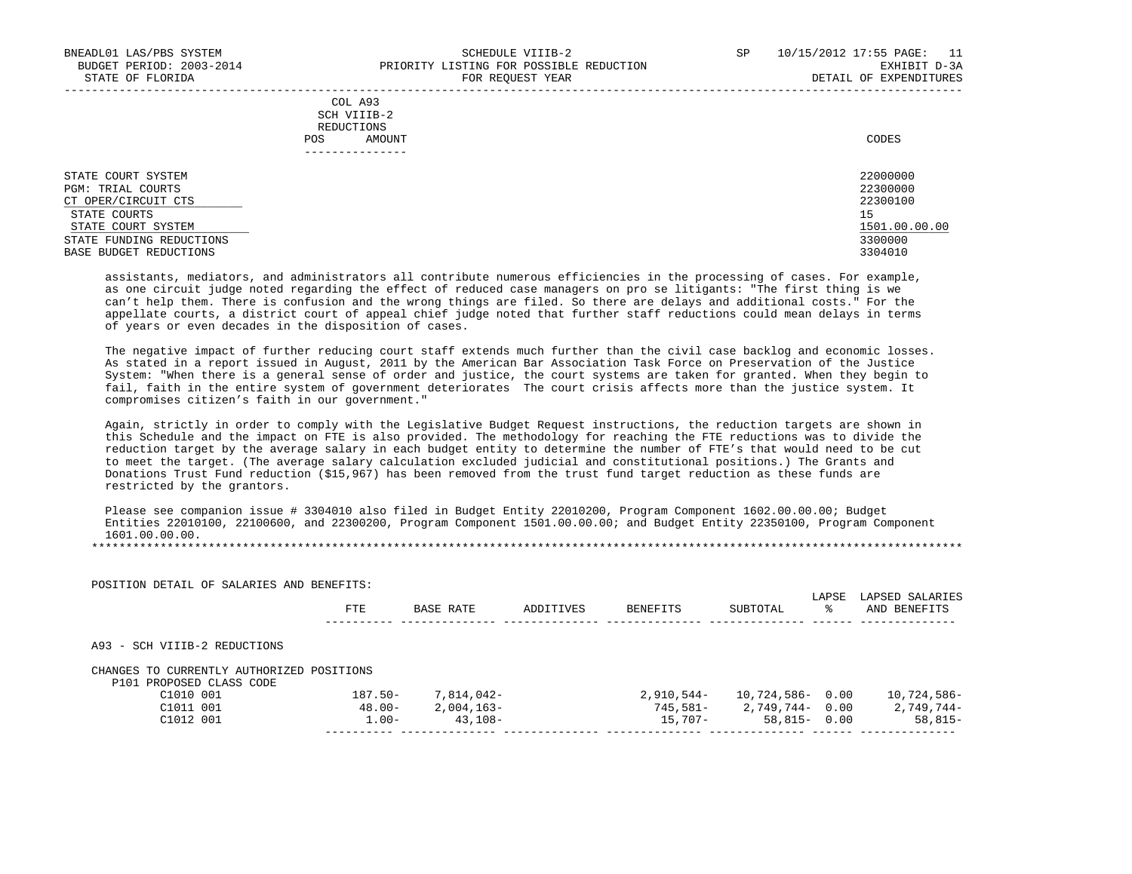|                           |     | COL A93      |          |
|---------------------------|-----|--------------|----------|
|                           |     | SCH VIIIB-2  |          |
|                           |     | REDUCTIONS   |          |
|                           | POS | AMOUNT       | CODES    |
|                           |     | ------------ |          |
|                           |     |              |          |
| <b>CTATE COUPT CVCTEM</b> |     |              | 22000000 |

STATE COURT SYSTEM 22000000 PGM: TRIAL COURTS 22300000<br>CT OPER/CIRCUIT CTS 22300100 CT OPER/CIRCUIT CTS 223<br>
STATE COURTS 15 STATE COURTS AND RESIDENCE AND RESIDENCE AND RESIDENCE AND RESIDENCE AND RESIDENCE AND RESIDENCE AND RESIDENCE  $\frac{\text{STATE} \quad \text{COURT} \quad \text{SYSTEM}}{3300000}$   $\frac{1501.00.00000}{3300000}$ STATE FUNDING REDUCTIONS 3300000 NEWSLET AND STATE STATE FUNDING REDUCTIONS AND STATE STATE REDUCTIONS AND STATE STATE STATE OF STATE STATE STATE STATE STATE STATE STATE STATE STATE STATE STATE STATE STATE STATE STATE STAT BASE BUDGET REDUCTIONS

 assistants, mediators, and administrators all contribute numerous efficiencies in the processing of cases. For example, as one circuit judge noted regarding the effect of reduced case managers on pro se litigants: "The first thing is we can't help them. There is confusion and the wrong things are filed. So there are delays and additional costs." For the appellate courts, a district court of appeal chief judge noted that further staff reductions could mean delays in terms of years or even decades in the disposition of cases.

 The negative impact of further reducing court staff extends much further than the civil case backlog and economic losses. As stated in a report issued in August, 2011 by the American Bar Association Task Force on Preservation of the Justice System: "When there is a general sense of order and justice, the court systems are taken for granted. When they begin to fail, faith in the entire system of government deteriorates The court crisis affects more than the justice system. It compromises citizen's faith in our government."

 Again, strictly in order to comply with the Legislative Budget Request instructions, the reduction targets are shown in this Schedule and the impact on FTE is also provided. The methodology for reaching the FTE reductions was to divide the reduction target by the average salary in each budget entity to determine the number of FTE's that would need to be cut to meet the target. (The average salary calculation excluded judicial and constitutional positions.) The Grants and Donations Trust Fund reduction (\$15,967) has been removed from the trust fund target reduction as these funds are restricted by the grantors.

 Please see companion issue # 3304010 also filed in Budget Entity 22010200, Program Component 1602.00.00.00; Budget Entities 22010100, 22100600, and 22300200, Program Component 1501.00.00.00; and Budget Entity 22350100, Program Component 1601.00.00.00.

|                                                        | FTE        | BASE RATE  | ADDITIVES | <b>BENEFITS</b> | SUBTOTAL            | LAPSE<br>ႜ | LAPSED SALARIES<br>AND BENEFITS |
|--------------------------------------------------------|------------|------------|-----------|-----------------|---------------------|------------|---------------------------------|
| A93 - SCH VIIIB-2 REDUCTIONS                           |            |            |           |                 |                     |            |                                 |
|                                                        |            |            |           |                 |                     |            |                                 |
| P101 PROPOSED CLASS CODE                               |            |            |           |                 |                     |            |                                 |
| CHANGES TO CURRENTLY AUTHORIZED POSITIONS<br>C1010 001 | $187.50 -$ | 7,814,042- |           | 2,910,544-      | $10,724,586 - 0.00$ |            | 10,724,586-                     |
| C1011 001                                              | $48.00 -$  | 2,004,163- |           | 745,581-        | 2,749,744- 0.00     |            | 2,749,744-                      |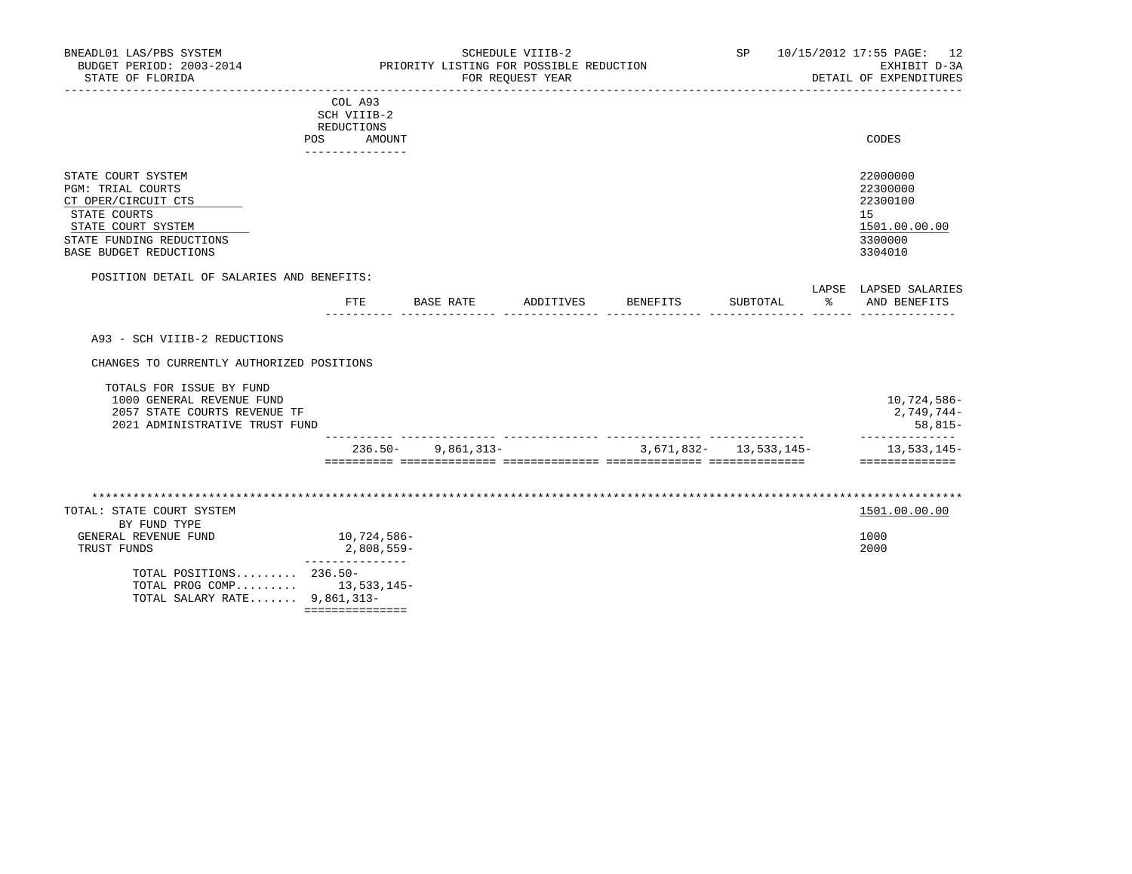| STATE COURT SYSTEM       | 22000000      |
|--------------------------|---------------|
| PGM: TRIAL COURTS        | 22300000      |
| CT OPER/CIRCUIT CTS      | 22300100      |
| STATE COURTS             | 15            |
| STATE COURT SYSTEM       | 1501.00.00.00 |
| STATE FUNDING REDUCTIONS | 3300000       |
| BASE BUDGET REDUCTIONS   | 3304010       |

|                       |  |   | חים ה | --- |
|-----------------------|--|---|-------|-----|
| <b>LEADE</b><br>سم عا |  | . |       | ⊿NT |
|                       |  |   |       | --- |

A93 - SCH VIIIB-2 REDUCTIONS

CHANGES TO CURRENTLY AUTHORIZED POSITIONS

|                                | $236.50 -$ | 9,861,313- | 3,671,832- 13,533,145- | 13,533,145-  |
|--------------------------------|------------|------------|------------------------|--------------|
| 2021 ADMINISTRATIVE TRUST FUND |            |            |                        | $58.815-$    |
| 2057 STATE COURTS REVENUE TF   |            |            |                        | $2.749.744-$ |
| 1000 GENERAL REVENUE FUND      |            |            |                        | 10,724,586-  |
| TOTALS FOR ISSUE BY FUND       |            |            |                        |              |

| TOTAL: STATE COURT SYSTEM      |              | 1501.00.00.00 |
|--------------------------------|--------------|---------------|
| BY FUND TYPE                   |              |               |
| GENERAL REVENUE FUND           | 10,724,586-  | 1000          |
| TRUST FUNDS                    | $2,808,559-$ | 2000          |
| TOTAL POSITIONS 236.50-        |              |               |
| TOTAL PROG COMP $13,533,145-$  |              |               |
| TOTAL SALARY RATE $9,861,313-$ |              |               |
|                                |              |               |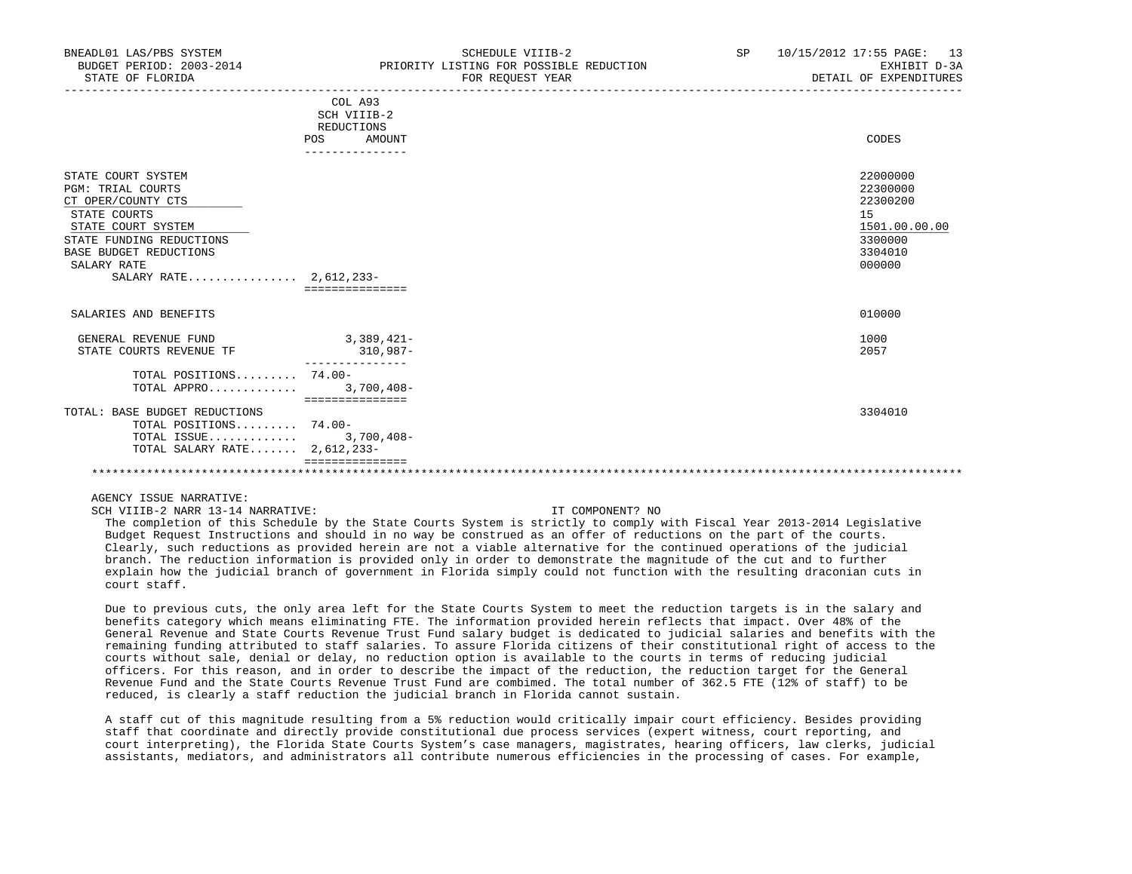| BNEADL01 LAS/PBS SYSTEM<br>BUDGET PERIOD: 2003-2014<br>STATE OF FLORIDA                                                                                                                                   |                                                                          | SCHEDULE VIIIB-2<br>PRIORITY LISTING FOR POSSIBLE REDUCTION<br>FOR REOUEST YEAR | SP | 10/15/2012 17:55 PAGE: 13<br>EXHIBIT D-3A<br>DETAIL OF EXPENDITURES                     |
|-----------------------------------------------------------------------------------------------------------------------------------------------------------------------------------------------------------|--------------------------------------------------------------------------|---------------------------------------------------------------------------------|----|-----------------------------------------------------------------------------------------|
|                                                                                                                                                                                                           | COL A93<br>SCH VIIIB-2<br>REDUCTIONS<br>POS<br>AMOUNT<br>--------------- |                                                                                 |    | CODES                                                                                   |
| STATE COURT SYSTEM<br><b>PGM: TRIAL COURTS</b><br>CT OPER/COUNTY CTS<br>STATE COURTS<br>STATE COURT SYSTEM<br>STATE FUNDING REDUCTIONS<br>BASE BUDGET REDUCTIONS<br>SALARY RATE<br>SALARY RATE 2,612,233- | ===============                                                          |                                                                                 |    | 22000000<br>22300000<br>22300200<br>15<br>1501.00.00.00<br>3300000<br>3304010<br>000000 |
| SALARIES AND BENEFITS                                                                                                                                                                                     |                                                                          |                                                                                 |    | 010000                                                                                  |
| GENERAL REVENUE FUND<br>STATE COURTS REVENUE TF                                                                                                                                                           | $3,389,421-$<br>310,987-                                                 |                                                                                 |    | 1000<br>2057                                                                            |
| TOTAL POSITIONS 74.00-<br>TOTAL APPRO 3,700,408-                                                                                                                                                          | ===============                                                          |                                                                                 |    |                                                                                         |
| TOTAL: BASE BUDGET REDUCTIONS<br>TOTAL POSITIONS 74.00-<br>TOTAL ISSUE<br>TOTAL SALARY RATE $2,612,233-$                                                                                                  | $3,700,408-$                                                             |                                                                                 |    | 3304010                                                                                 |
|                                                                                                                                                                                                           |                                                                          |                                                                                 |    |                                                                                         |

SCH VIIIB-2 NARR 13-14 NARRATIVE: IT COMPONENT? NO

 The completion of this Schedule by the State Courts System is strictly to comply with Fiscal Year 2013-2014 Legislative Budget Request Instructions and should in no way be construed as an offer of reductions on the part of the courts. Clearly, such reductions as provided herein are not a viable alternative for the continued operations of the judicial branch. The reduction information is provided only in order to demonstrate the magnitude of the cut and to further explain how the judicial branch of government in Florida simply could not function with the resulting draconian cuts in court staff.

 Due to previous cuts, the only area left for the State Courts System to meet the reduction targets is in the salary and benefits category which means eliminating FTE. The information provided herein reflects that impact. Over 48% of the General Revenue and State Courts Revenue Trust Fund salary budget is dedicated to judicial salaries and benefits with the remaining funding attributed to staff salaries. To assure Florida citizens of their constitutional right of access to the courts without sale, denial or delay, no reduction option is available to the courts in terms of reducing judicial officers. For this reason, and in order to describe the impact of the reduction, the reduction target for the General Revenue Fund and the State Courts Revenue Trust Fund are combimed. The total number of 362.5 FTE (12% of staff) to be reduced, is clearly a staff reduction the judicial branch in Florida cannot sustain.

 A staff cut of this magnitude resulting from a 5% reduction would critically impair court efficiency. Besides providing staff that coordinate and directly provide constitutional due process services (expert witness, court reporting, and court interpreting), the Florida State Courts System's case managers, magistrates, hearing officers, law clerks, judicial assistants, mediators, and administrators all contribute numerous efficiencies in the processing of cases. For example,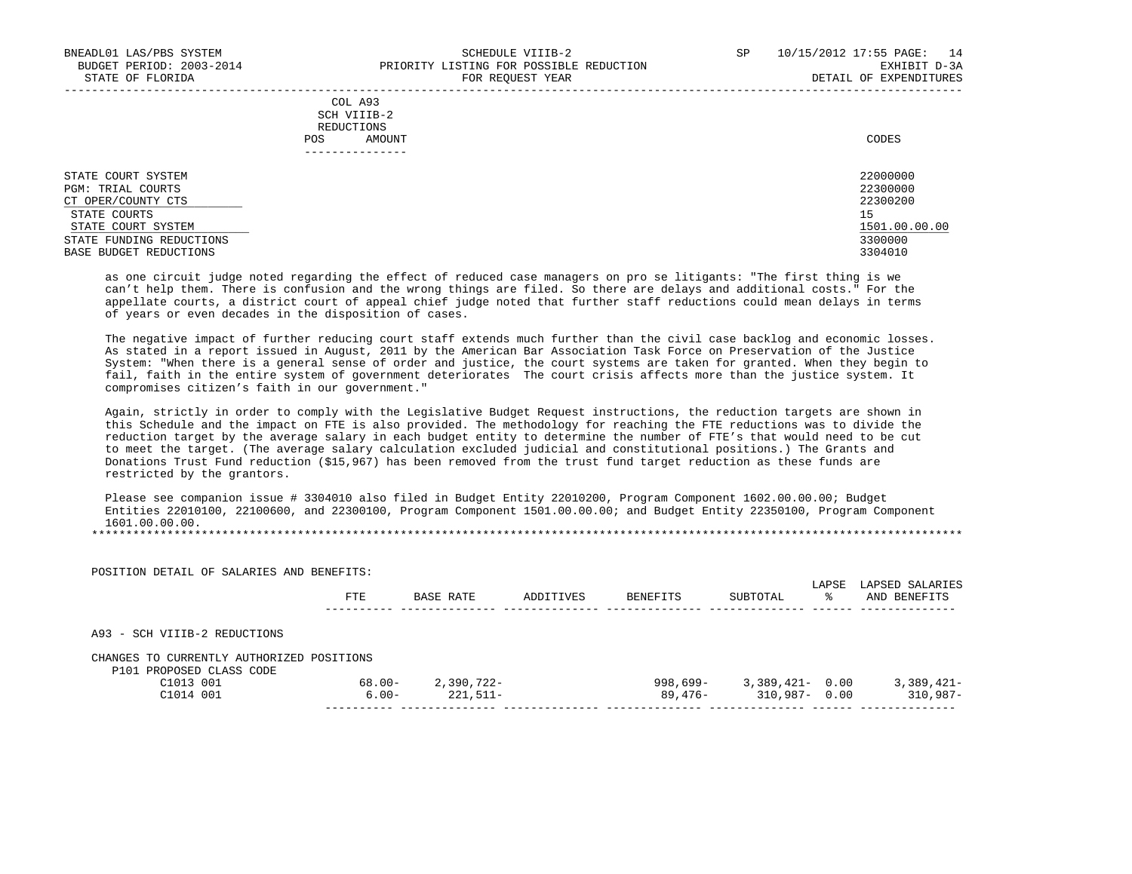|     | COL A93        |       |
|-----|----------------|-------|
|     | SCH VIIIB-2    |       |
|     | REDUCTIONS     |       |
| POS | AMOUNT         | CODES |
|     | -------------- |       |
|     |                |       |

STATE COURT SYSTEM 22000000 PGM: TRIAL COURTS 22300000<br>CT OPER/COUNTY CTS 22300200 CT OPER/COUNTY CTS 223<br>
STATE COURTS 15 STATE COURTS AND RESIDENCE AND RESIDENCE AND RESIDENCE AND RESIDENCE AND RESIDENCE AND RESIDENCE AND RESIDENCE  $\frac{\text{STATE} \quad \text{COURT} \quad \text{SYSTEM}}{3300000}$   $\frac{1501.00.00000}{3300000}$ STATE FUNDING REDUCTIONS 3300000 NEWSLET AND STATE STATE FUNDING REDUCTIONS AND STATE STATE REDUCTIONS AND STATE STATE STATE OF STATE STATE STATE STATE STATE STATE STATE STATE STATE STATE STATE STATE STATE STATE STATE STAT BASE BUDGET REDUCTIONS

 as one circuit judge noted regarding the effect of reduced case managers on pro se litigants: "The first thing is we can't help them. There is confusion and the wrong things are filed. So there are delays and additional costs." For the appellate courts, a district court of appeal chief judge noted that further staff reductions could mean delays in terms of years or even decades in the disposition of cases.

 The negative impact of further reducing court staff extends much further than the civil case backlog and economic losses. As stated in a report issued in August, 2011 by the American Bar Association Task Force on Preservation of the Justice System: "When there is a general sense of order and justice, the court systems are taken for granted. When they begin to fail, faith in the entire system of government deteriorates The court crisis affects more than the justice system. It compromises citizen's faith in our government."

 Again, strictly in order to comply with the Legislative Budget Request instructions, the reduction targets are shown in this Schedule and the impact on FTE is also provided. The methodology for reaching the FTE reductions was to divide the reduction target by the average salary in each budget entity to determine the number of FTE's that would need to be cut to meet the target. (The average salary calculation excluded judicial and constitutional positions.) The Grants and Donations Trust Fund reduction (\$15,967) has been removed from the trust fund target reduction as these funds are restricted by the grantors.

 Please see companion issue # 3304010 also filed in Budget Entity 22010200, Program Component 1602.00.00.00; Budget Entities 22010100, 22100600, and 22300100, Program Component 1501.00.00.00; and Budget Entity 22350100, Program Component 1601.00.00.00.

| POSITION DETAIL OF SALARIES AND BENEFITS:                             |           |            |           |                 |                    | LAPSE | LAPSED SALARIES |
|-----------------------------------------------------------------------|-----------|------------|-----------|-----------------|--------------------|-------|-----------------|
|                                                                       | FTE       | BASE RATE  | ADDITIVES | <b>BENEFITS</b> | SUBTOTAL           | °≈    | AND BENEFITS    |
| A93 - SCH VIIIB-2 REDUCTIONS                                          |           |            |           |                 |                    |       |                 |
| CHANGES TO CURRENTLY AUTHORIZED POSITIONS<br>P101 PROPOSED CLASS CODE |           |            |           |                 |                    |       |                 |
| C1013001                                                              | $68.00 -$ | 2,390,722- |           | 998,699-        | $3,389,421 - 0.00$ |       | $3,389,421-$    |
| C1014 001                                                             | $6.00 -$  | $221.511-$ |           | 89,476-         | $310.987 - 0.00$   |       | $310.987 -$     |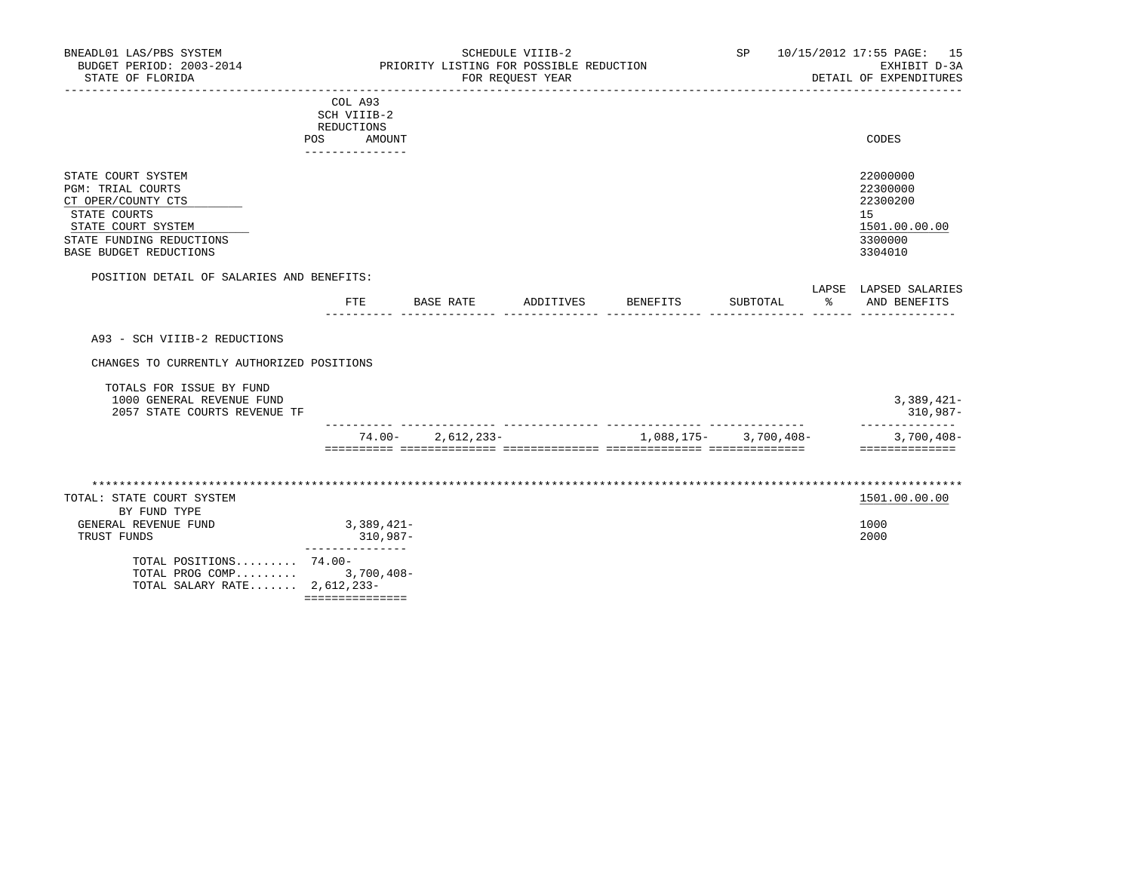| BNEADL01 LAS/PBS SYSTEM<br>BUDGET PERIOD: 2003-2014                                                                                                              |                                                                   |                       | SCHEDULE VIIIB-2<br>PRIORITY LISTING FOR POSSIBLE REDUCTION |          | SP                                         |    | 10/15/2012 17:55 PAGE: 15<br>EXHIBIT D-3A                                     |
|------------------------------------------------------------------------------------------------------------------------------------------------------------------|-------------------------------------------------------------------|-----------------------|-------------------------------------------------------------|----------|--------------------------------------------|----|-------------------------------------------------------------------------------|
| STATE OF FLORIDA                                                                                                                                                 |                                                                   |                       | FOR REOUEST YEAR                                            |          |                                            |    | DETAIL OF EXPENDITURES                                                        |
| <b>POS</b>                                                                                                                                                       | COL A93<br>SCH VIIIB-2<br>REDUCTIONS<br>AMOUNT<br>--------------- |                       |                                                             |          |                                            |    | CODES                                                                         |
| STATE COURT SYSTEM<br><b>PGM: TRIAL COURTS</b><br>CT OPER/COUNTY CTS<br>STATE COURTS<br>STATE COURT SYSTEM<br>STATE FUNDING REDUCTIONS<br>BASE BUDGET REDUCTIONS |                                                                   |                       |                                                             |          |                                            |    | 22000000<br>22300000<br>22300200<br>15<br>1501.00.00.00<br>3300000<br>3304010 |
| POSITION DETAIL OF SALARIES AND BENEFITS:                                                                                                                        |                                                                   |                       |                                                             |          |                                            |    | LAPSE LAPSED SALARIES                                                         |
|                                                                                                                                                                  | FTE                                                               | BASE RATE             | ADDITIVES                                                   | BENEFITS | SUBTOTAL<br>------ -------------- ------ - | ႜၟ | AND BENEFITS                                                                  |
| A93 - SCH VIIIB-2 REDUCTIONS<br>CHANGES TO CURRENTLY AUTHORIZED POSITIONS                                                                                        |                                                                   |                       |                                                             |          |                                            |    |                                                                               |
| TOTALS FOR ISSUE BY FUND<br>1000 GENERAL REVENUE FUND<br>2057 STATE COURTS REVENUE TF                                                                            |                                                                   |                       |                                                             |          |                                            |    | $3,389,421-$<br>310,987-<br>______________                                    |
|                                                                                                                                                                  |                                                                   | $74.00 - 2.612.233 -$ |                                                             |          | 1,088,175 - 3,700,408 -                    |    | $3,700,408-$<br>==============                                                |
|                                                                                                                                                                  |                                                                   |                       |                                                             |          |                                            |    |                                                                               |
| TOTAL: STATE COURT SYSTEM                                                                                                                                        |                                                                   |                       |                                                             |          |                                            |    | 1501.00.00.00                                                                 |
| BY FUND TYPE<br>GENERAL REVENUE FUND<br>TRUST FUNDS                                                                                                              | $3,389,421-$<br>310,987-                                          |                       |                                                             |          |                                            |    | 1000<br>2000                                                                  |
| TOTAL POSITIONS 74.00-<br>TOTAL PROG COMP 3,700,408-<br>TOTAL SALARY RATE $2,612,233-$                                                                           | ---------------                                                   |                       |                                                             |          |                                            |    |                                                                               |

===============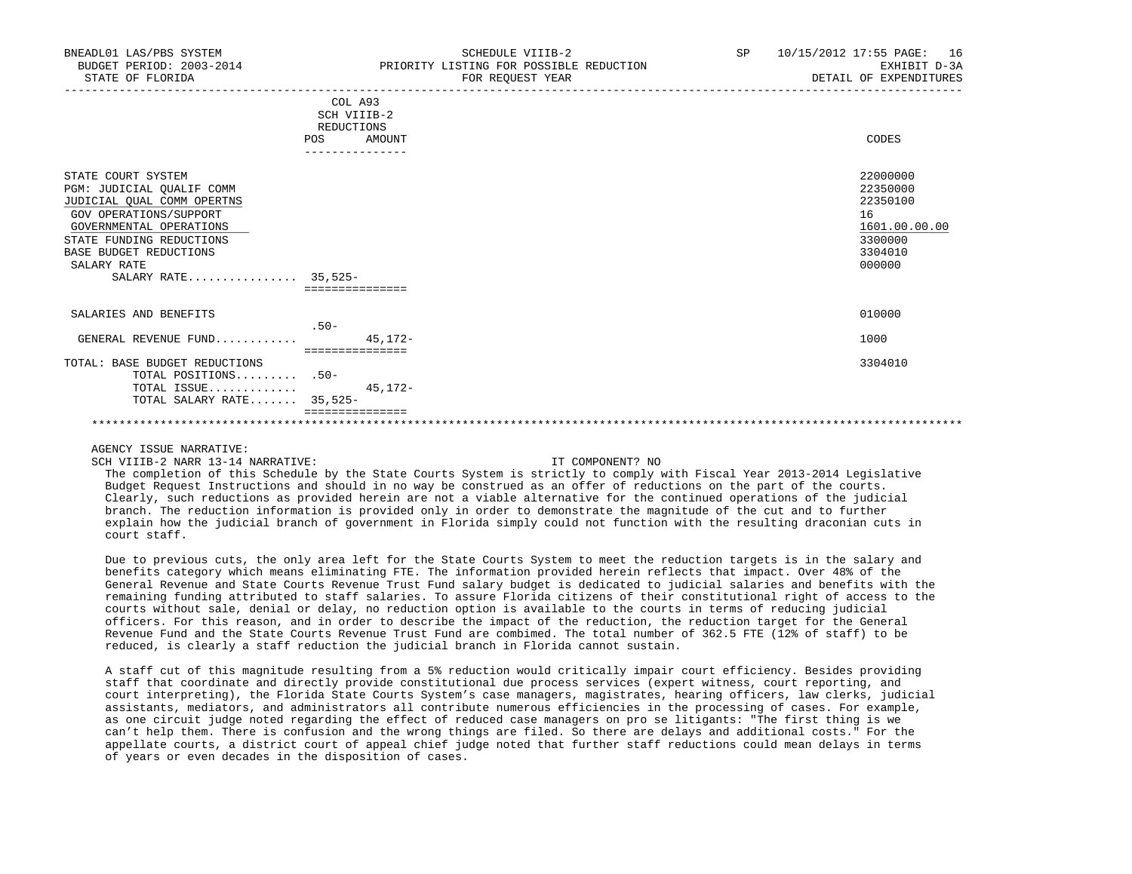| BNEADL01 LAS/PBS SYSTEM<br>BUDGET PERIOD: 2003-2014<br>STATE OF FLORIDA                                                                                                                                                        | SCHEDULE VIIIB-2<br>PRIORITY LISTING FOR POSSIBLE REDUCTION<br>FOR REOUEST YEAR | SP | 16<br>10/15/2012 17:55 PAGE:<br>EXHIBIT D-3A<br>DETAIL OF EXPENDITURES                  |
|--------------------------------------------------------------------------------------------------------------------------------------------------------------------------------------------------------------------------------|---------------------------------------------------------------------------------|----|-----------------------------------------------------------------------------------------|
|                                                                                                                                                                                                                                | COL A93<br>SCH VIIIB-2<br>REDUCTIONS<br>AMOUNT<br>POS                           |    | CODES                                                                                   |
| STATE COURT SYSTEM<br>PGM: JUDICIAL QUALIF COMM<br>JUDICIAL OUAL COMM OPERTNS<br>GOV OPERATIONS/SUPPORT<br>GOVERNMENTAL OPERATIONS<br>STATE FUNDING REDUCTIONS<br>BASE BUDGET REDUCTIONS<br>SALARY RATE<br>SALARY RATE 35,525- | ===============                                                                 |    | 22000000<br>22350000<br>22350100<br>16<br>1601.00.00.00<br>3300000<br>3304010<br>000000 |
| SALARIES AND BENEFITS<br>GENERAL REVENUE FUND                                                                                                                                                                                  | $.50-$<br>$45.172 -$                                                            |    | 010000<br>1000                                                                          |
| TOTAL: BASE BUDGET REDUCTIONS<br>TOTAL POSITIONS .50-<br>TOTAL ISSUE<br>TOTAL SALARY RATE 35,525-                                                                                                                              | ===============<br>$45, 172 -$                                                  |    | 3304010                                                                                 |
|                                                                                                                                                                                                                                |                                                                                 |    |                                                                                         |

SCH VIIIB-2 NARR 13-14 NARRATIVE: IT COMPONENT? NO

 The completion of this Schedule by the State Courts System is strictly to comply with Fiscal Year 2013-2014 Legislative Budget Request Instructions and should in no way be construed as an offer of reductions on the part of the courts. Clearly, such reductions as provided herein are not a viable alternative for the continued operations of the judicial branch. The reduction information is provided only in order to demonstrate the magnitude of the cut and to further explain how the judicial branch of government in Florida simply could not function with the resulting draconian cuts in court staff.

 Due to previous cuts, the only area left for the State Courts System to meet the reduction targets is in the salary and benefits category which means eliminating FTE. The information provided herein reflects that impact. Over 48% of the General Revenue and State Courts Revenue Trust Fund salary budget is dedicated to judicial salaries and benefits with the remaining funding attributed to staff salaries. To assure Florida citizens of their constitutional right of access to the courts without sale, denial or delay, no reduction option is available to the courts in terms of reducing judicial officers. For this reason, and in order to describe the impact of the reduction, the reduction target for the General Revenue Fund and the State Courts Revenue Trust Fund are combimed. The total number of 362.5 FTE (12% of staff) to be reduced, is clearly a staff reduction the judicial branch in Florida cannot sustain.

 A staff cut of this magnitude resulting from a 5% reduction would critically impair court efficiency. Besides providing staff that coordinate and directly provide constitutional due process services (expert witness, court reporting, and court interpreting), the Florida State Courts System's case managers, magistrates, hearing officers, law clerks, judicial assistants, mediators, and administrators all contribute numerous efficiencies in the processing of cases. For example, as one circuit judge noted regarding the effect of reduced case managers on pro se litigants: "The first thing is we can't help them. There is confusion and the wrong things are filed. So there are delays and additional costs." For the appellate courts, a district court of appeal chief judge noted that further staff reductions could mean delays in terms of years or even decades in the disposition of cases.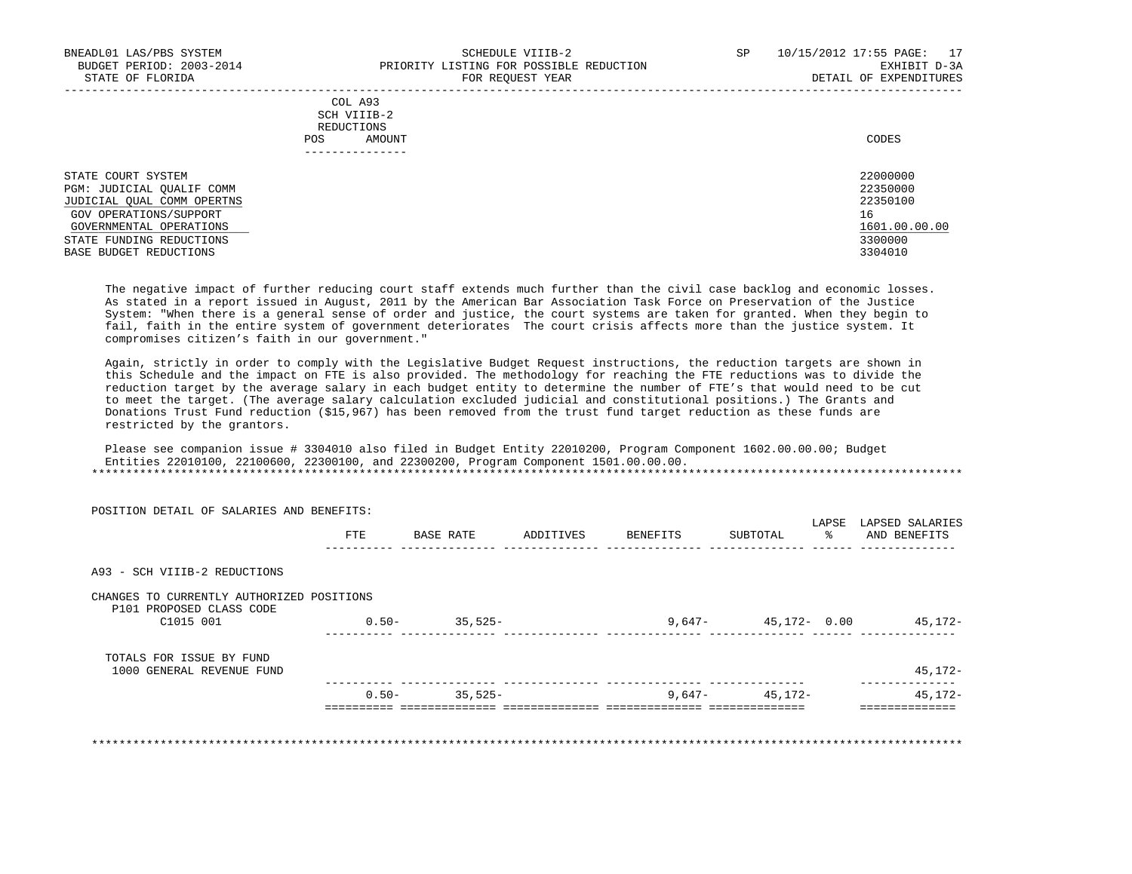-----------------------------------------------------------------------------------------------------------------------------------

|     | COL A93                                                                                                                        |       |
|-----|--------------------------------------------------------------------------------------------------------------------------------|-------|
|     | SCH VIIIB-2<br>the contract of the contract of the contract of the contract of the contract of the contract of the contract of |       |
|     | REDUCTIONS                                                                                                                     |       |
| POS | AMOUNT                                                                                                                         | CODES |
|     |                                                                                                                                |       |

| STATE COURT SYSTEM         | 22000000      |
|----------------------------|---------------|
| PGM: JUDICIAL OUALIF COMM  | 22350000      |
| JUDICIAL OUAL COMM OPERTNS | 22350100      |
| GOV OPERATIONS/SUPPORT     | 16            |
| GOVERNMENTAL OPERATIONS    | 1601.00.00.00 |
| STATE FUNDING REDUCTIONS   | 3300000       |
| BASE BUDGET REDUCTIONS     | 3304010       |

 The negative impact of further reducing court staff extends much further than the civil case backlog and economic losses. As stated in a report issued in August, 2011 by the American Bar Association Task Force on Preservation of the Justice System: "When there is a general sense of order and justice, the court systems are taken for granted. When they begin to fail, faith in the entire system of government deteriorates The court crisis affects more than the justice system. It compromises citizen's faith in our government."

 Again, strictly in order to comply with the Legislative Budget Request instructions, the reduction targets are shown in this Schedule and the impact on FTE is also provided. The methodology for reaching the FTE reductions was to divide the reduction target by the average salary in each budget entity to determine the number of FTE's that would need to be cut to meet the target. (The average salary calculation excluded judicial and constitutional positions.) The Grants and Donations Trust Fund reduction (\$15,967) has been removed from the trust fund target reduction as these funds are restricted by the grantors.

 Please see companion issue # 3304010 also filed in Budget Entity 22010200, Program Component 1602.00.00.00; Budget Entities 22010100, 22100600, 22300100, and 22300200, Program Component 1501.00.00.00. \*\*\*\*\*\*\*\*\*\*\*\*\*\*\*\*\*\*\*\*\*\*\*\*\*\*\*\*\*\*\*\*\*\*\*\*\*\*\*\*\*\*\*\*\*\*\*\*\*\*\*\*\*\*\*\*\*\*\*\*\*\*\*\*\*\*\*\*\*\*\*\*\*\*\*\*\*\*\*\*\*\*\*\*\*\*\*\*\*\*\*\*\*\*\*\*\*\*\*\*\*\*\*\*\*\*\*\*\*\*\*\*\*\*\*\*\*\*\*\*\*\*\*\*\*\*\*

| POSITION DETAIL OF SALARIES AND BENEFITS:                             |          |           |           |          | LAPSE                   | LAPSED SALARIES |
|-----------------------------------------------------------------------|----------|-----------|-----------|----------|-------------------------|-----------------|
|                                                                       | FTE      | BASE RATE | ADDITIVES | BENEFITS | ፟፠<br>SUBTOTAL          | AND BENEFITS    |
| A93 - SCH VIIIB-2 REDUCTIONS                                          |          |           |           |          |                         |                 |
| CHANGES TO CURRENTLY AUTHORIZED POSITIONS<br>P101 PROPOSED CLASS CODE |          |           |           |          |                         |                 |
| C1015 001                                                             | $0.50 -$ | 35,525-   |           |          | $9,647 - 45,172 - 0.00$ | 45,172-         |
| TOTALS FOR ISSUE BY FUND                                              |          |           |           |          |                         |                 |
| 1000 GENERAL REVENUE FUND                                             |          |           |           |          |                         | $45, 172 -$     |
|                                                                       | $0.50 -$ | 35,525-   |           | 9,647-   | 45,172-                 | 45,172-         |

\*\*\*\*\*\*\*\*\*\*\*\*\*\*\*\*\*\*\*\*\*\*\*\*\*\*\*\*\*\*\*\*\*\*\*\*\*\*\*\*\*\*\*\*\*\*\*\*\*\*\*\*\*\*\*\*\*\*\*\*\*\*\*\*\*\*\*\*\*\*\*\*\*\*\*\*\*\*\*\*\*\*\*\*\*\*\*\*\*\*\*\*\*\*\*\*\*\*\*\*\*\*\*\*\*\*\*\*\*\*\*\*\*\*\*\*\*\*\*\*\*\*\*\*\*\*\*

POSITION DETAIL OF SALARIES AND BENEFITS: